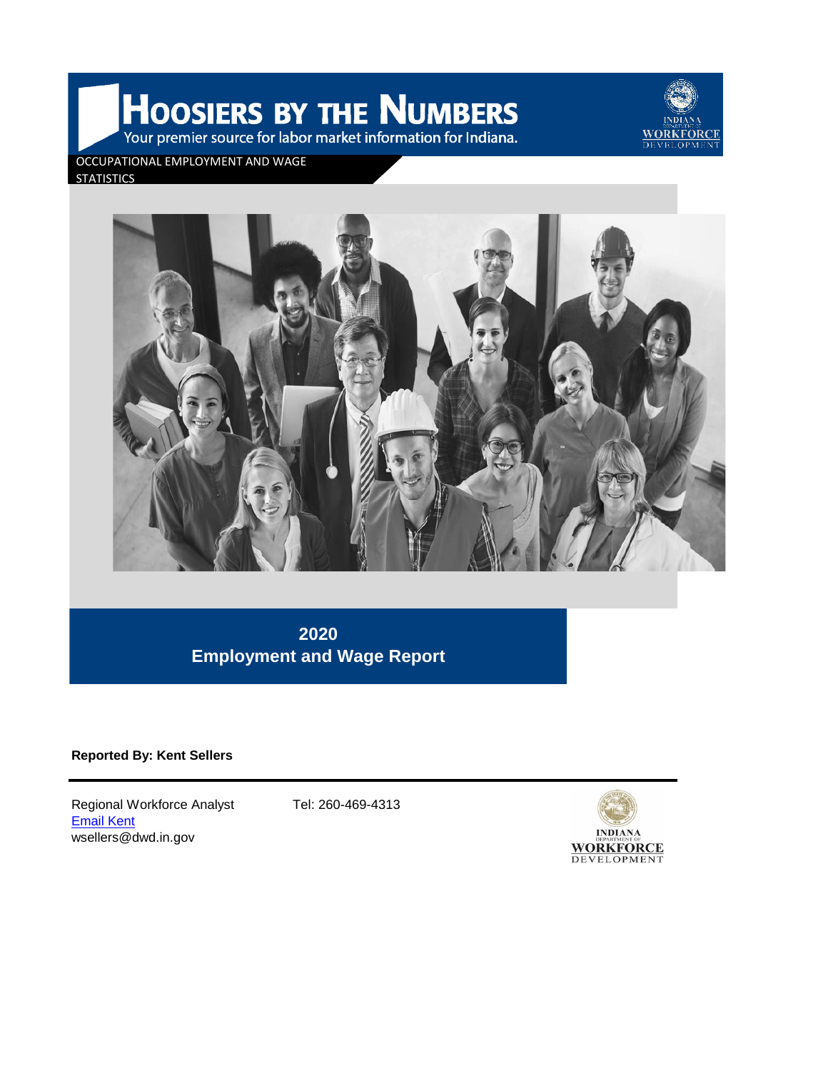HOOSIERS BY THE NUMBERS Your premier source for labor market information for Indiana.



OCCUPATIONAL EMPLOYMENT AND WAGE

**STATISTICS** 



**2020 Employment and Wage Report**

**Reported By: Kent Sellers**

Regional Workforce Analyst Tel: 260-469-4313 [Email Kent](mailto:wsellers@dwd.in.gov) wsellers@dwd.in.gov

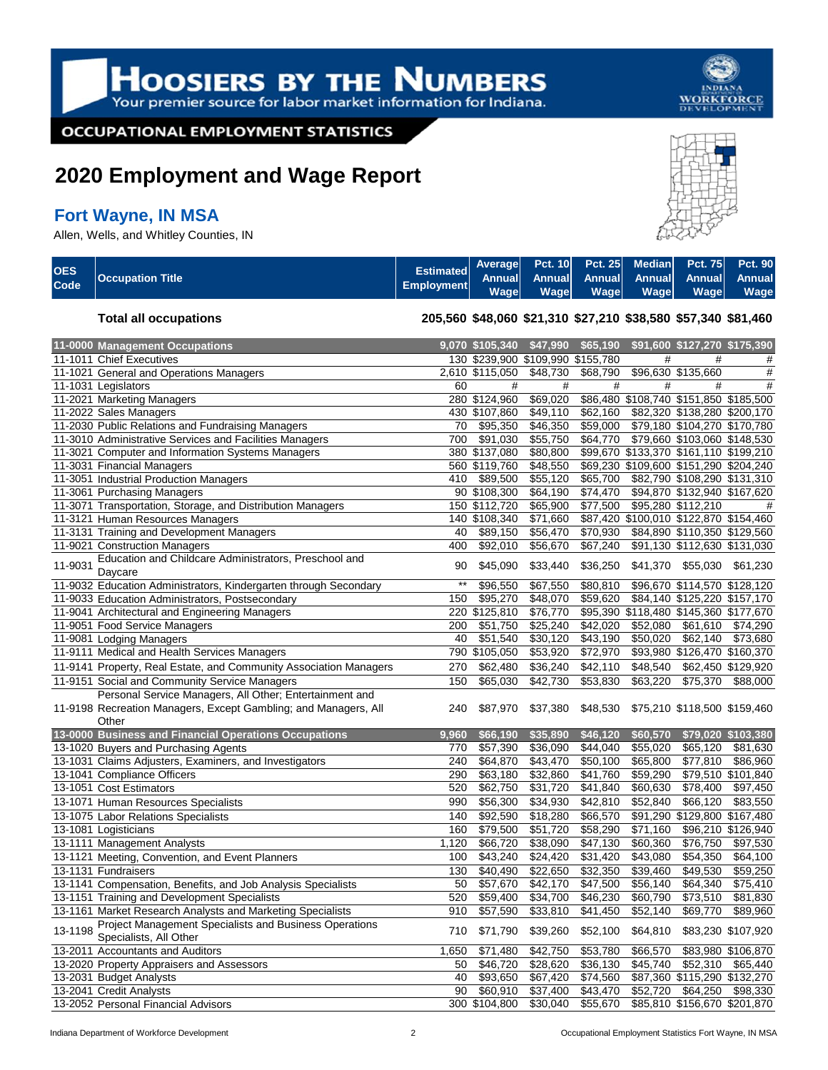

**OCCUPATIONAL EMPLOYMENT STATISTICS** 

# **2020 Employment and Wage Report**

# **Fort Wayne, IN MSA**

Allen, Wells, and Whitley Counties, IN



| OES<br>Code | <b>Occupation Title</b> | Estimated Average Pct. 10 Pct. 25 Median Pct. 75 Pct. 90<br>Employment Wage Water | Wage   Wage   Wage   Wage |  | Wage |
|-------------|-------------------------|-----------------------------------------------------------------------------------|---------------------------|--|------|
|             |                         |                                                                                   |                           |  |      |

#### **Total all occupations 205,560 \$48,060 \$21,310 \$27,210 \$38,580 \$57,340 \$81,460**

| 11-0000 Management Occupations                                    |       | 9,070 \$105,340 \$47,990          |          | \$65,190 |          | \$91,600 \$127,270 \$175,390           |                    |
|-------------------------------------------------------------------|-------|-----------------------------------|----------|----------|----------|----------------------------------------|--------------------|
| 11-1011 Chief Executives                                          |       | 130 \$239,900 \$109,990 \$155,780 |          |          | #        | #                                      | #                  |
| 11-1021 General and Operations Managers                           |       | 2,610 \$115,050                   | \$48,730 | \$68,790 |          | \$96,630 \$135,660                     | #                  |
| 11-1031 Legislators                                               | 60    | #                                 | #        | #        | #        | #                                      | #                  |
| 11-2021 Marketing Managers                                        |       | 280 \$124,960                     | \$69,020 |          |          | \$86,480 \$108,740 \$151,850 \$185,500 |                    |
| 11-2022 Sales Managers                                            |       | 430 \$107,860                     | \$49,110 | \$62,160 |          | \$82,320 \$138,280 \$200,170           |                    |
| 11-2030 Public Relations and Fundraising Managers                 | 70    | \$95,350                          | \$46,350 | \$59,000 |          | \$79,180 \$104,270 \$170,780           |                    |
| 11-3010 Administrative Services and Facilities Managers           | 700   | \$91,030                          | \$55,750 | \$64,770 |          | \$79,660 \$103,060 \$148,530           |                    |
| 11-3021 Computer and Information Systems Managers                 |       | 380 \$137,080                     | \$80,800 |          |          | \$99,670 \$133,370 \$161,110 \$199,210 |                    |
| 11-3031 Financial Managers                                        |       | 560 \$119,760                     | \$48,550 |          |          | \$69,230 \$109,600 \$151,290 \$204,240 |                    |
| 11-3051 Industrial Production Managers                            | 410   | \$89,500                          | \$55,120 | \$65,700 |          | \$82,790 \$108,290 \$131,310           |                    |
| 11-3061 Purchasing Managers                                       |       | 90 \$108,300                      | \$64,190 | \$74,470 |          | \$94,870 \$132,940 \$167,620           |                    |
| 11-3071 Transportation, Storage, and Distribution Managers        |       | 150 \$112,720                     | \$65,900 | \$77,500 |          | \$95,280 \$112,210                     | #                  |
| 11-3121 Human Resources Managers                                  |       | 140 \$108,340                     | \$71,660 |          |          | \$87,420 \$100,010 \$122,870 \$154,460 |                    |
| 11-3131 Training and Development Managers                         | 40    | \$89,150                          | \$56,470 | \$70,930 |          | \$84,890 \$110,350 \$129,560           |                    |
| 11-9021 Construction Managers                                     | 400   | \$92,010                          | \$56,670 | \$67,240 |          | \$91,130 \$112,630 \$131,030           |                    |
| Education and Childcare Administrators, Preschool and             |       |                                   |          |          |          |                                        |                    |
| 11-9031<br>Daycare                                                | 90    | \$45,090                          | \$33,440 | \$36,250 | \$41,370 | \$55,030 \$61,230                      |                    |
| 11-9032 Education Administrators, Kindergarten through Secondary  | $**$  | \$96,550                          | \$67,550 | \$80,810 |          | \$96,670 \$114,570 \$128,120           |                    |
| 11-9033 Education Administrators, Postsecondary                   | 150   | \$95,270                          | \$48,070 | \$59,620 |          | \$84,140 \$125,220 \$157,170           |                    |
| 11-9041 Architectural and Engineering Managers                    |       | 220 \$125,810                     | \$76,770 |          |          | \$95,390 \$118,480 \$145,360 \$177,670 |                    |
| 11-9051 Food Service Managers                                     | 200   | \$51,750                          | \$25,240 | \$42,020 | \$52,080 | \$61,610                               | \$74,290           |
| 11-9081 Lodging Managers                                          | 40    | \$51,540                          | \$30,120 | \$43,190 | \$50,020 | \$62,140                               | \$73,680           |
| 11-9111 Medical and Health Services Managers                      |       | 790 \$105,050                     | \$53,920 | \$72,970 |          | \$93,980 \$126,470 \$160,370           |                    |
| 11-9141 Property, Real Estate, and Community Association Managers | 270   | \$62,480                          | \$36,240 | \$42,110 | \$48,540 |                                        | \$62,450 \$129,920 |
| 11-9151 Social and Community Service Managers                     | 150   | \$65,030                          | \$42,730 | \$53,830 | \$63,220 | \$75,370                               | \$88,000           |
| Personal Service Managers, All Other; Entertainment and           |       |                                   |          |          |          |                                        |                    |
| 11-9198 Recreation Managers, Except Gambling; and Managers, All   | 240   | \$87,970                          | \$37,380 | \$48,530 |          | \$75,210 \$118,500 \$159,460           |                    |
| Other                                                             |       |                                   |          |          |          |                                        |                    |
| 13-0000 Business and Financial Operations Occupations             | 9,960 | \$66,190                          | \$35,890 | \$46,120 | \$60,570 |                                        | \$79,020 \$103,380 |
| 13-1020 Buyers and Purchasing Agents                              | 770   | \$57,390                          | \$36,090 | \$44,040 | \$55,020 | \$65,120                               | \$81,630           |
| 13-1031 Claims Adjusters, Examiners, and Investigators            | 240   | \$64,870                          | \$43,470 | \$50,100 | \$65,800 | \$77,810                               | \$86,960           |
| 13-1041 Compliance Officers                                       | 290   | \$63,180                          | \$32,860 | \$41,760 | \$59,290 |                                        | \$79,510 \$101,840 |
| 13-1051 Cost Estimators                                           | 520   | \$62,750                          | \$31,720 | \$41,840 | \$60,630 |                                        | \$78,400 \$97,450  |
| 13-1071 Human Resources Specialists                               | 990   | \$56,300                          | \$34,930 | \$42,810 | \$52,840 | \$66,120                               | \$83,550           |
| 13-1075 Labor Relations Specialists                               | 140   | \$92,590                          | \$18,280 | \$66,570 |          | \$91,290 \$129,800 \$167,480           |                    |
| 13-1081 Logisticians                                              | 160   | \$79,500                          | \$51,720 | \$58,290 | \$71,160 |                                        | \$96,210 \$126,940 |
| 13-1111 Management Analysts                                       | 1,120 | \$66,720                          | \$38,090 | \$47,130 | \$60,360 | \$76,750                               | \$97,530           |
| 13-1121 Meeting, Convention, and Event Planners                   | 100   | \$43,240                          | \$24,420 | \$31,420 | \$43,080 | \$54,350                               | \$64,100           |
| 13-1131 Fundraisers                                               | 130   | \$40,490                          | \$22,650 | \$32,350 | \$39,460 | \$49,530                               | \$59,250           |
| 13-1141 Compensation, Benefits, and Job Analysis Specialists      | 50    | \$57,670                          | \$42,170 | \$47,500 | \$56,140 | \$64,340                               | \$75,410           |
| 13-1151 Training and Development Specialists                      | 520   | \$59,400                          | \$34,700 | \$46,230 | \$60,790 | \$73,510                               | \$81,830           |
| 13-1161 Market Research Analysts and Marketing Specialists        | 910   | \$57,590                          | \$33,810 | \$41,450 | \$52,140 | \$69,770                               | \$89,960           |
| Project Management Specialists and Business Operations            |       |                                   |          |          |          |                                        |                    |
| 13-1198<br>Specialists, All Other                                 | 710   | \$71,790                          | \$39,260 | \$52,100 | \$64,810 |                                        | \$83,230 \$107,920 |
| 13-2011 Accountants and Auditors                                  | 1,650 | $\overline{$71,480}$              | \$42,750 | \$53,780 | \$66,570 |                                        | \$83,980 \$106,870 |
| 13-2020 Property Appraisers and Assessors                         | 50    | \$46,720                          | \$28,620 | \$36,130 | \$45,740 | \$52,310                               | \$65,440           |
| 13-2031 Budget Analysts                                           | 40    | \$93,650                          | \$67,420 | \$74,560 |          | \$87,360 \$115,290 \$132,270           |                    |
| 13-2041 Credit Analysts                                           | 90    | \$60,910                          | \$37,400 | \$43,470 | \$52,720 |                                        | \$64,250 \$98,330  |
| 13-2052 Personal Financial Advisors                               |       | 300 \$104,800                     | \$30,040 | \$55,670 |          | \$85,810 \$156,670 \$201,870           |                    |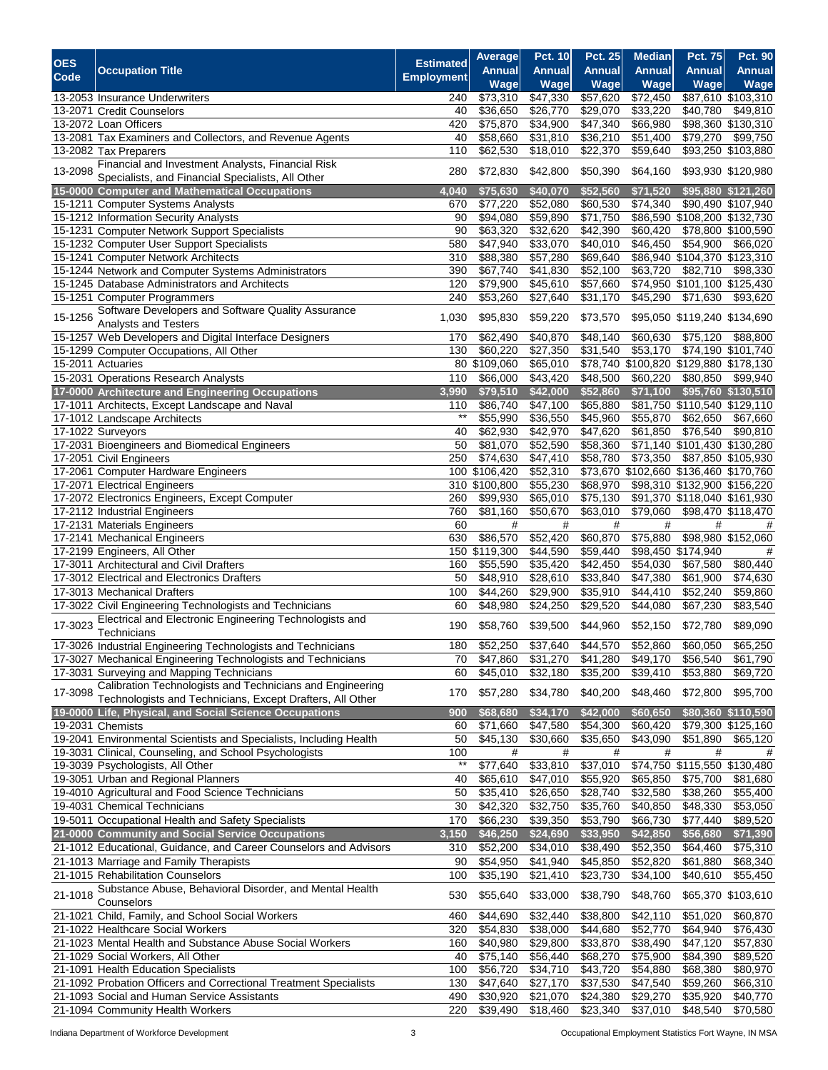| <b>OES</b> |                                                                    | <b>Estimated</b>  | Average              | <b>Pct. 10</b>   | <b>Pct. 25</b> | <b>Median</b> | Pct. 75                                | <b>Pct. 90</b>     |
|------------|--------------------------------------------------------------------|-------------------|----------------------|------------------|----------------|---------------|----------------------------------------|--------------------|
|            | <b>Occupation Title</b>                                            |                   | Annual               | <b>Annual</b>    | Annual         | <b>Annual</b> | Annual                                 | Annual             |
| Code       |                                                                    | <b>Employment</b> | Wage                 | Wage             | <b>Wage</b>    | Wage          | Wage                                   | Wage               |
|            | 13-2053 Insurance Underwriters                                     | 240               | \$73,310             | \$47,330         | \$57,620       | \$72,450      |                                        | \$87,610 \$103,310 |
|            | 13-2071 Credit Counselors                                          | 40                | \$36,650             | \$26,770         | \$29,070       | \$33,220      | \$40,780                               | \$49,810           |
|            | 13-2072 Loan Officers                                              | 420               | \$75,870             | \$34,900         | \$47,340       | \$66,980      |                                        | \$98,360 \$130,310 |
|            | 13-2081 Tax Examiners and Collectors, and Revenue Agents           | 40                | \$58,660             | \$31,810         | \$36,210       | \$51,400      | \$79,270                               | \$99,750           |
|            |                                                                    |                   | \$62,530             | \$18,010         |                | \$59,640      |                                        | \$93,250 \$103,880 |
|            | 13-2082 Tax Preparers                                              | 110               |                      |                  | \$22,370       |               |                                        |                    |
| 13-2098    | Financial and Investment Analysts, Financial Risk                  | 280               | \$72,830             | \$42,800         | \$50,390       | \$64,160      |                                        | \$93,930 \$120,980 |
|            | Specialists, and Financial Specialists, All Other                  |                   |                      |                  |                |               |                                        |                    |
|            | 15-0000 Computer and Mathematical Occupations                      | 4,040             | \$75,630             | \$40,070         | \$52,560       | \$71,520      |                                        | \$95,880 \$121,260 |
|            | 15-1211 Computer Systems Analysts                                  | 670               | \$77,220             | \$52,080         | \$60,530       | \$74,340      |                                        | \$90,490 \$107,940 |
|            | 15-1212 Information Security Analysts                              | 90                | \$94,080             | \$59,890         | \$71,750       |               | \$86,590 \$108,200 \$132,730           |                    |
|            | 15-1231 Computer Network Support Specialists                       | 90                | \$63,320             | \$32,620         | \$42,390       | \$60,420      |                                        | \$78,800 \$100,590 |
|            | 15-1232 Computer User Support Specialists                          | 580               | \$47,940             | \$33,070         | \$40,010       | \$46,450      | 554,900                                | \$66,020           |
|            | 15-1241 Computer Network Architects                                | 310               | \$88,380             | \$57,280         | \$69,640       |               | \$86,940 \$104,370 \$123,310           |                    |
|            | 15-1244 Network and Computer Systems Administrators                | 390               | \$67,740             | \$41,830         | \$52,100       | \$63,720      | $\sqrt{$82,710}$                       | \$98,330           |
|            | 15-1245 Database Administrators and Architects                     | 120               | \$79,900             | \$45,610         | \$57,660       |               | \$74,950 \$101,100 \$125,430           |                    |
|            | 15-1251 Computer Programmers                                       | 240               | \$53,260             | \$27,640         | \$31,170       | \$45,290      | \$71,630                               | \$93,620           |
|            | Software Developers and Software Quality Assurance                 |                   |                      |                  |                |               |                                        |                    |
| 15-1256    |                                                                    | 1,030             | \$95,830             | \$59,220         | \$73,570       |               | \$95,050 \$119,240 \$134,690           |                    |
|            | Analysts and Testers                                               |                   |                      |                  |                |               |                                        |                    |
|            | 15-1257 Web Developers and Digital Interface Designers             | 170               | \$62,490             | \$40,870         | \$48,140       | \$60,630      | \$75,120                               | \$88,800           |
|            | 15-1299 Computer Occupations, All Other                            | 130               | \$60,220             | \$27,350         | \$31,540       | \$53,170      |                                        | \$74,190 \$101,740 |
|            | 15-2011 Actuaries                                                  | 80                | \$109,060            | \$65,010         |                |               | \$78,740 \$100,820 \$129,880 \$178,130 |                    |
|            | 15-2031 Operations Research Analysts                               | 110               | \$66,000             | \$43,420         | \$48,500       | \$60,220      | \$80,850                               | \$99,940           |
|            | 17-0000 Architecture and Engineering Occupations                   | 3.990             | \$79,510             | \$42,000         | \$52,860       | \$71,100      |                                        | \$95,760 \$130,510 |
|            | 17-1011 Architects, Except Landscape and Naval                     | 110               | \$86.740             | \$47,100         | \$65,880       |               | \$81,750 \$110,540 \$129,110           |                    |
|            | 17-1012 Landscape Architects                                       | $***$             | \$55,990             | \$36,550         | \$45,960       | \$55,870      | \$62,650                               | \$67,660           |
|            | 17-1022 Surveyors                                                  | 40                | \$62,930             | \$42,970         | \$47,620       | \$61,850      | \$76,540                               | \$90,810           |
|            | 17-2031 Bioengineers and Biomedical Engineers                      | 50                | \$81,070             | \$52,590         | \$58,360       |               | \$71,140 \$101,430 \$130,280           |                    |
|            |                                                                    |                   |                      |                  |                |               |                                        |                    |
|            | 17-2051 Civil Engineers                                            | 250               | \$74,630             | \$47,410         | \$58,780       | \$73,350      |                                        | \$87,850 \$105,930 |
|            | 17-2061 Computer Hardware Engineers                                |                   | 100 \$106,420        | \$52,310         |                |               | \$73,670 \$102,660 \$136,460 \$170,760 |                    |
|            | 17-2071 Electrical Engineers                                       |                   | 310 \$100,800        | \$55,230         | \$68,970       |               | \$98,310 \$132,900 \$156,220           |                    |
|            | 17-2072 Electronics Engineers, Except Computer                     | 260               | \$99,930             | \$65,010         | \$75,130       |               | \$91,370 \$118,040 \$161,930           |                    |
|            | 17-2112 Industrial Engineers                                       | 760               | \$81,160             | \$50,670         | \$63,010       | \$79,060      |                                        | \$98,470 \$118,470 |
|            | 17-2131 Materials Engineers                                        | 60                | #                    | #                | #              | #             | #                                      | #                  |
|            | 17-2141 Mechanical Engineers                                       | 630               | \$86,570             | \$52,420         | \$60,870       | \$75,880      |                                        | \$98,980 \$152,060 |
|            | 17-2199 Engineers, All Other                                       | 150               | \$119,300            | \$44,590         | \$59,440       | \$98,450      | \$174,940                              | #                  |
|            | 17-3011 Architectural and Civil Drafters                           | 160               | \$55,590             | \$35,420         | \$42,450       | \$54,030      | \$67,580                               | \$80,440           |
|            | 17-3012 Electrical and Electronics Drafters                        | 50                | \$48,910             | \$28,610         | \$33,840       | \$47,380      | \$61,900                               | \$74,630           |
|            | 17-3013 Mechanical Drafters                                        | 100               | \$44,260             | \$29,900         | \$35,910       | \$44,410      | \$52,240                               | \$59,860           |
|            | 17-3022 Civil Engineering Technologists and Technicians            | 60                | \$48,980             | $\sqrt{$24,250}$ | \$29,520       |               | \$67,230                               | \$83,540           |
|            |                                                                    |                   |                      |                  |                | \$44,080      |                                        |                    |
| 17-3023    | Electrical and Electronic Engineering Technologists and            | 190               | \$58,760             | \$39,500         | \$44,960       | \$52,150      | \$72,780                               | \$89,090           |
|            | Technicians                                                        |                   |                      |                  |                |               |                                        |                    |
|            | 17-3026 Industrial Engineering Technologists and Technicians       | 180               | \$52,250             | \$37,640         | \$44,570       | \$52,860      | \$60,050                               | \$65,250           |
|            | 17-3027 Mechanical Engineering Technologists and Technicians       | 70                | \$47,860             | \$31,270         | \$41,280       | \$49,170      | \$56,540                               | \$61,790           |
|            | 17-3031 Surveying and Mapping Technicians                          | 60                | \$45,010             | \$32,180         | \$35,200       | \$39,410      | \$53,880                               | \$69,720           |
|            | Calibration Technologists and Technicians and Engineering          |                   |                      |                  |                |               |                                        |                    |
| 17-3098    | Technologists and Technicians, Except Drafters, All Other          | 170               | \$57,280             | \$34,780         | \$40,200       | \$48,460      | \$72,800                               | \$95,700           |
|            | 19-0000 Life, Physical, and Social Science Occupations             | 900               | \$68,680             | \$34,170         | \$42,000       | \$60,650      |                                        | \$80,360 \$110,590 |
|            | 19-2031 Chemists                                                   | 60                | \$71,660             | \$47,580         | \$54,300       | \$60,420      |                                        | \$79,300 \$125,160 |
|            | 19-2041 Environmental Scientists and Specialists, Including Health | 50                | \$45,130             | \$30,660         | \$35,650       | \$43,090      | \$51,890                               | \$65,120           |
|            |                                                                    | 100               |                      | #                |                | #             | #                                      |                    |
|            | 19-3031 Clinical, Counseling, and School Psychologists             | $^{\star\star}$   | #                    | \$33,810         | #              |               |                                        | #                  |
|            | 19-3039 Psychologists, All Other                                   |                   | \$77,640             |                  | \$37,010       |               | \$74,750 \$115,550 \$130,480           |                    |
|            | 19-3051 Urban and Regional Planners                                | 40                | \$65,610             | \$47,010         | \$55,920       | \$65,850      | \$75,700                               | \$81,680           |
|            | 19-4010 Agricultural and Food Science Technicians                  | 50                | \$35,410             | \$26,650         | \$28,740       | \$32,580      | \$38,260                               | \$55,400           |
|            | 19-4031 Chemical Technicians                                       | 30                | \$42,320             | \$32,750         | \$35,760       | \$40,850      | \$48,330                               | \$53,050           |
|            | 19-5011 Occupational Health and Safety Specialists                 | 170               | \$66,230             | \$39,350         | \$53,790       | \$66,730      | \$77,440                               | \$89,520           |
|            | 21-0000 Community and Social Service Occupations                   | 3,150             | \$46,250             | \$24,690         | \$33,950       | \$42,850      | \$56,680                               | \$71,390           |
|            | 21-1012 Educational, Guidance, and Career Counselors and Advisors  | 310               | \$52,200             | \$34,010         | \$38,490       | \$52,350      | \$64,460                               | \$75,310           |
|            | 21-1013 Marriage and Family Therapists                             | 90                | \$54,950             | \$41,940         | \$45,850       | \$52,820      | \$61,880                               | \$68,340           |
|            |                                                                    |                   |                      |                  |                |               |                                        |                    |
|            | 21-1015 Rehabilitation Counselors                                  | 100               | $\overline{$}35,190$ | \$21,410         | \$23,730       | \$34,100      | \$40,610                               | \$55,450           |
| 21-1018    | Substance Abuse, Behavioral Disorder, and Mental Health            | 530               | \$55,640             | \$33,000         | \$38,790       | \$48,760      |                                        | \$65,370 \$103,610 |
|            | Counselors                                                         |                   |                      |                  |                |               |                                        |                    |
|            | 21-1021 Child, Family, and School Social Workers                   | 460               | \$44,690             | \$32,440         | \$38,800       | \$42,110      | \$51,020                               | \$60,870           |
|            | 21-1022 Healthcare Social Workers                                  | 320               | \$54,830             | \$38,000         | \$44,680       | \$52,770      | \$64,940                               | \$76,430           |
|            | 21-1023 Mental Health and Substance Abuse Social Workers           | 160               | \$40,980             | \$29,800         | \$33,870       | \$38,490      | \$47,120                               | \$57,830           |
|            | 21-1029 Social Workers, All Other                                  | 40                | \$75,140             | \$56,440         | \$68,270       | \$75,900      | \$84,390                               | \$89,520           |
|            | 21-1091 Health Education Specialists                               | 100               | \$56,720             | \$34,710         | \$43,720       | \$54,880      | \$68,380                               | \$80,970           |
|            | 21-1092 Probation Officers and Correctional Treatment Specialists  | 130               | \$47,640             | \$27,170         | \$37,530       | \$47,540      | \$59,260                               | \$66,310           |
|            | 21-1093 Social and Human Service Assistants                        | 490               | \$30,920             | \$21,070         | \$24,380       | \$29,270      | \$35,920                               | \$40,770           |
|            |                                                                    |                   |                      |                  |                |               |                                        |                    |
|            | 21-1094 Community Health Workers                                   | 220               | \$39,490             | \$18,460         | \$23,340       | \$37,010      | \$48,540                               | \$70,580           |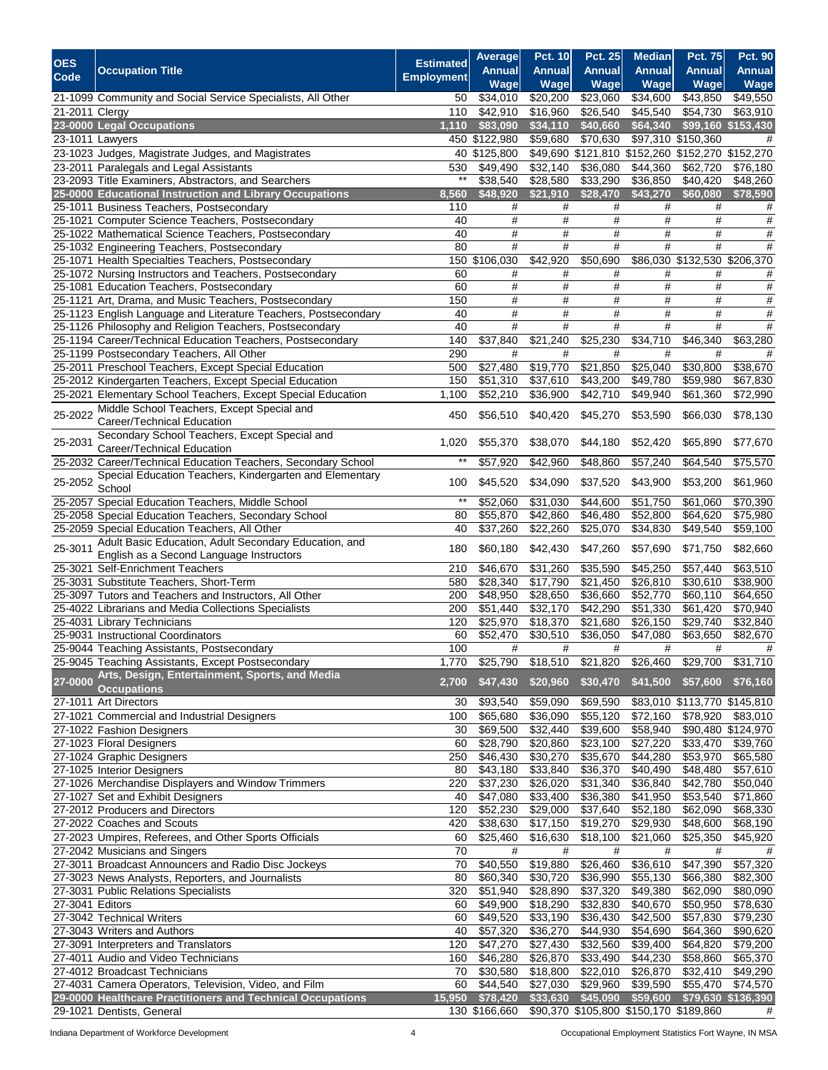| <b>OES</b>         |                                                                                                                       | <b>Estimated</b>  | Average              | <b>Pct. 10</b>       | <b>Pct. 25</b>       | <b>Median</b>                                    | <b>Pct. 75</b>               | <b>Pct. 90</b>               |
|--------------------|-----------------------------------------------------------------------------------------------------------------------|-------------------|----------------------|----------------------|----------------------|--------------------------------------------------|------------------------------|------------------------------|
| Code               | <b>Occupation Title</b>                                                                                               | <b>Employment</b> | <b>Annual</b>        | <b>Annual</b>        | <b>Annual</b>        | <b>Annual</b>                                    | <b>Annual</b>                | <b>Annual</b>                |
|                    | 21-1099 Community and Social Service Specialists, All Other                                                           | 50                | Wage<br>\$34,010     | Wage<br>\$20,200     | Wage<br>\$23,060     | Wage<br>\$34,600                                 | Wage<br>\$43,850             | <b>Wage</b><br>\$49,550      |
| $21 - 2011$ Clergy |                                                                                                                       | 110               | \$42,910             | \$16,960             | \$26,540             | \$45,540                                         | \$54,730                     | \$63,910                     |
|                    | 23-0000 Legal Occupations                                                                                             | 1,110             | \$83,090             | \$34,110             | \$40,660             | \$64,340                                         |                              | \$99,160 \$153,430           |
|                    | 23-1011 Lawyers                                                                                                       |                   | 450 \$122,980        | \$59,680             | \$70,630             |                                                  | \$97,310 \$150,360           | #                            |
|                    | 23-1023 Judges, Magistrate Judges, and Magistrates                                                                    |                   | 40 \$125,800         |                      |                      | \$49,690 \$121,810 \$152,260 \$152,270 \$152,270 |                              |                              |
|                    | 23-2011 Paralegals and Legal Assistants                                                                               | 530               | \$49,490             | \$32,140             | \$36,080             | \$44,360                                         | $\overline{$62,720}$         | \$76,180                     |
|                    | 23-2093 Title Examiners, Abstractors, and Searchers                                                                   | $^{\star\star}$   | \$38,540             | \$28,580             | \$33,290             | \$36,850                                         | \$40,420                     | \$48,260                     |
|                    | 25-0000 Educational Instruction and Library Occupations                                                               | 8,560             | \$48,920             | \$21,910             | \$28,470             | \$43,270                                         | \$60,080                     | \$78,590                     |
|                    | 25-1011 Business Teachers, Postsecondary                                                                              | 110               | #<br>#               | #                    | #                    | #                                                | #<br>#                       | #                            |
|                    | 25-1021 Computer Science Teachers, Postsecondary<br>25-1022 Mathematical Science Teachers, Postsecondary              | 40<br>40          | #                    | $\#$<br>$\#$         | #<br>#               | $\#$<br>$\#$                                     | $\#$                         | $\#$<br>$\#$                 |
|                    | 25-1032 Engineering Teachers, Postsecondary                                                                           | 80                | #                    | $\#$                 | #                    | #                                                | #                            | $\#$                         |
|                    | 25-1071 Health Specialties Teachers, Postsecondary                                                                    |                   | 150 \$106,030        | \$42,920             | \$50,690             |                                                  | \$86,030 \$132,530 \$206,370 |                              |
|                    | 25-1072 Nursing Instructors and Teachers, Postsecondary                                                               | 60                | #                    | #                    | #                    | #                                                | #                            | #                            |
|                    | 25-1081 Education Teachers, Postsecondary                                                                             | 60                | #                    | #                    | #                    | $\#$                                             | #                            | #                            |
|                    | 25-1121 Art, Drama, and Music Teachers, Postsecondary                                                                 | 150               | #                    | $\#$                 | #                    | $\#$                                             | $\#$                         | #                            |
|                    | 25-1123 English Language and Literature Teachers, Postsecondary                                                       | 40<br>40          | #<br>#               | $\#$<br>$\#$         | #<br>#               | $\#$<br>$\#$                                     | $\#$<br>$\#$                 | #<br>#                       |
|                    | 25-1126 Philosophy and Religion Teachers, Postsecondary<br>25-1194 Career/Technical Education Teachers, Postsecondary | 140               | \$37,840             | \$21,240             | \$25,230             | \$34,710                                         | \$46,340                     | \$63,280                     |
|                    | 25-1199 Postsecondary Teachers, All Other                                                                             | 290               | #                    | #                    | #                    | #                                                | #                            | #                            |
|                    | 25-2011 Preschool Teachers, Except Special Education                                                                  | 500               | \$27,480             | \$19,770             | \$21,850             | \$25,040                                         | \$30,800                     | \$38,670                     |
|                    | 25-2012 Kindergarten Teachers, Except Special Education                                                               | 150               | \$51,310             | \$37,610             | \$43,200             | \$49,780                                         | \$59,980                     | \$67,830                     |
|                    | 25-2021 Elementary School Teachers, Except Special Education                                                          | 1,100             | \$52,210             | \$36,900             | \$42,710             | \$49,940                                         | \$61,360                     | \$72,990                     |
| 25-2022            | Middle School Teachers, Except Special and                                                                            | 450               | \$56,510             | \$40,420             | \$45,270             | \$53,590                                         | \$66,030                     | \$78,130                     |
|                    | Career/Technical Education                                                                                            |                   |                      |                      |                      |                                                  |                              |                              |
| 25-2031            | Secondary School Teachers, Except Special and                                                                         | 1,020             | \$55,370             | \$38,070             | \$44,180             | \$52,420                                         | \$65,890                     | \$77,670                     |
|                    | Career/Technical Education<br>25-2032 Career/Technical Education Teachers, Secondary School                           | $***$             | \$57,920             | \$42,960             | \$48,860             | \$57,240                                         | \$64,540                     | \$75,570                     |
|                    | Special Education Teachers, Kindergarten and Elementary                                                               |                   |                      |                      |                      |                                                  |                              |                              |
| 25-2052            | School                                                                                                                | 100               | \$45,520             | \$34,090             | \$37,520             | \$43,900                                         | \$53,200                     | \$61,960                     |
|                    | 25-2057 Special Education Teachers, Middle School                                                                     | $***$             | \$52,060             | \$31,030             | \$44,600             | \$51,750                                         | \$61,060                     | \$70,390                     |
|                    | 25-2058 Special Education Teachers, Secondary School                                                                  | 80                | \$55,870             | $\overline{$42,860}$ | \$46,480             | \$52,800                                         | \$64,620                     | \$75,980                     |
|                    | 25-2059 Special Education Teachers, All Other                                                                         | 40                | \$37,260             | \$22,260             | \$25,070             | \$34,830                                         | \$49,540                     | \$59,100                     |
| 25-3011            | Adult Basic Education, Adult Secondary Education, and                                                                 | 180               | \$60,180             | \$42,430             | \$47,260             | \$57,690                                         | \$71,750                     | \$82,660                     |
|                    | English as a Second Language Instructors<br>25-3021 Self-Enrichment Teachers                                          | 210               | \$46,670             | \$31,260             | \$35,590             | \$45,250                                         | \$57,440                     | \$63,510                     |
|                    | 25-3031 Substitute Teachers, Short-Term                                                                               | 580               | \$28,340             | \$17,790             | \$21,450             | \$26,810                                         | \$30,610                     | \$38,900                     |
|                    | 25-3097 Tutors and Teachers and Instructors, All Other                                                                | 200               | \$48,950             | \$28,650             | \$36,660             | \$52,770                                         | \$60,110                     | \$64,650                     |
|                    | 25-4022 Librarians and Media Collections Specialists                                                                  | 200               | \$51,440             | \$32,170             | \$42,290             | \$51,330                                         | \$61,420                     | \$70,940                     |
|                    | 25-4031 Library Technicians                                                                                           | 120               | \$25,970             | \$18,370             | \$21,680             | \$26,150                                         | \$29,740                     | \$32,840                     |
|                    | 25-9031 Instructional Coordinators                                                                                    | 60                | \$52,470             | \$30,510             | \$36,050             | \$47,080                                         | \$63,650                     | \$82,670                     |
|                    | 25-9044 Teaching Assistants, Postsecondary                                                                            | 100               | #                    | #                    | #                    | #                                                | #                            | #                            |
|                    | 25-9045 Teaching Assistants, Except Postsecondary<br>Arts, Design, Entertainment, Sports, and Media                   | 1,770             | \$25,790             | \$18,510             | \$21,820             | \$26,460                                         | \$29,700                     | \$31,710                     |
| 27-0000            | <b>Occupations</b>                                                                                                    | 2,700             | \$47,430             | \$20,960             | \$30,470             | \$41,500                                         | \$57,600                     | \$76,160                     |
|                    | 27-1011 Art Directors                                                                                                 | 30                | \$93,540             | \$59,090             | \$69,590             |                                                  |                              | \$83,010 \$113,770 \$145,810 |
|                    | 27-1021 Commercial and Industrial Designers                                                                           | 100               | \$65,680             | \$36,090             | \$55,120             | \$72,160                                         | \$78,920                     | \$83,010                     |
|                    | 27-1022 Fashion Designers                                                                                             | 30                | \$69,500             | \$32,440             | \$39,600             | \$58,940                                         |                              | \$90,480 \$124,970           |
|                    | 27-1023 Floral Designers                                                                                              | 60                | \$28,790             | \$20,860             | \$23,100             | \$27,220                                         | \$33,470                     | \$39,760                     |
|                    | 27-1024 Graphic Designers                                                                                             | 250               | \$46,430             | \$30,270             | \$35,670             | \$44,280                                         | \$53,970                     | \$65,580                     |
|                    | 27-1025 Interior Designers                                                                                            | 80                | \$43,180             | \$33,840             | \$36,370<br>\$31,340 | \$40,490                                         | $\sqrt{$48,480}$             | \$57,610<br>\$50,040         |
|                    | 27-1026 Merchandise Displayers and Window Trimmers<br>27-1027 Set and Exhibit Designers                               | 220<br>40         | \$37,230<br>\$47,080 | \$26,020<br>\$33,400 | \$36,380             | \$36,840<br>\$41,950                             | \$42,780<br>\$53,540         | \$71,860                     |
|                    | 27-2012 Producers and Directors                                                                                       | 120               | \$52,230             | \$29,000             | \$37,640             | \$52,180                                         | \$62,090                     | \$68,330                     |
|                    | 27-2022 Coaches and Scouts                                                                                            | 420               | \$38,630             | \$17,150             | $\overline{$}19,270$ | \$29,930                                         | \$48,600                     | \$68,190                     |
|                    | 27-2023 Umpires, Referees, and Other Sports Officials                                                                 | 60                | \$25,460             | \$16,630             | \$18,100             | \$21,060                                         | \$25,350                     | \$45,920                     |
|                    | 27-2042 Musicians and Singers                                                                                         | 70                | $\#$                 | #                    | #                    | #                                                | $\#$                         | #                            |
|                    | 27-3011 Broadcast Announcers and Radio Disc Jockeys                                                                   | 70                | \$40,550             | \$19,880             | \$26,460             | \$36,610                                         | \$47,390                     | \$57,320                     |
|                    | 27-3023 News Analysts, Reporters, and Journalists                                                                     | 80                | \$60,340             | \$30,720             | \$36,990             | \$55,130                                         | \$66,380                     | \$82,300                     |
|                    | 27-3031 Public Relations Specialists                                                                                  | 320               | \$51,940             | \$28,890             | \$37,320             | \$49,380                                         | \$62,090                     | \$80,090                     |
| 27-3041 Editors    | 27-3042 Technical Writers                                                                                             | 60<br>60          | \$49,900<br>\$49,520 | \$18,290<br>\$33,190 | \$32,830<br>\$36,430 | \$40,670<br>\$42,500                             | \$50,950<br>\$57,830         | \$78,630<br>\$79,230         |
|                    | 27-3043 Writers and Authors                                                                                           | 40                | \$57,320             | \$36,270             | \$44,930             | \$54,690                                         | \$64,360                     | \$90,620                     |
|                    | 27-3091 Interpreters and Translators                                                                                  | 120               | \$47,270             | \$27,430             | \$32,560             | \$39,400                                         | \$64,820                     | \$79,200                     |
|                    | 27-4011 Audio and Video Technicians                                                                                   | 160               | \$46,280             | \$26,870             | \$33,490             | \$44,230                                         | \$58,860                     | \$65,370                     |
|                    | 27-4012 Broadcast Technicians                                                                                         | 70                | \$30,580             | \$18,800             | \$22,010             | \$26,870                                         | \$32,410                     | \$49,290                     |
|                    | 27-4031 Camera Operators, Television, Video, and Film                                                                 | 60                | \$44,540             | \$27,030             | \$29,960             | \$39,590                                         | \$55,470                     | \$74,570                     |
|                    | 29-0000 Healthcare Practitioners and Technical Occupations                                                            | 15,950            | \$78,420             | \$33,630             | \$45,090             | \$59,600                                         |                              | \$79,630 \$136,390           |
|                    | 29-1021 Dentists, General                                                                                             |                   | 130 \$166,660        |                      |                      | \$90,370 \$105,800 \$150,170 \$189,860           |                              | #                            |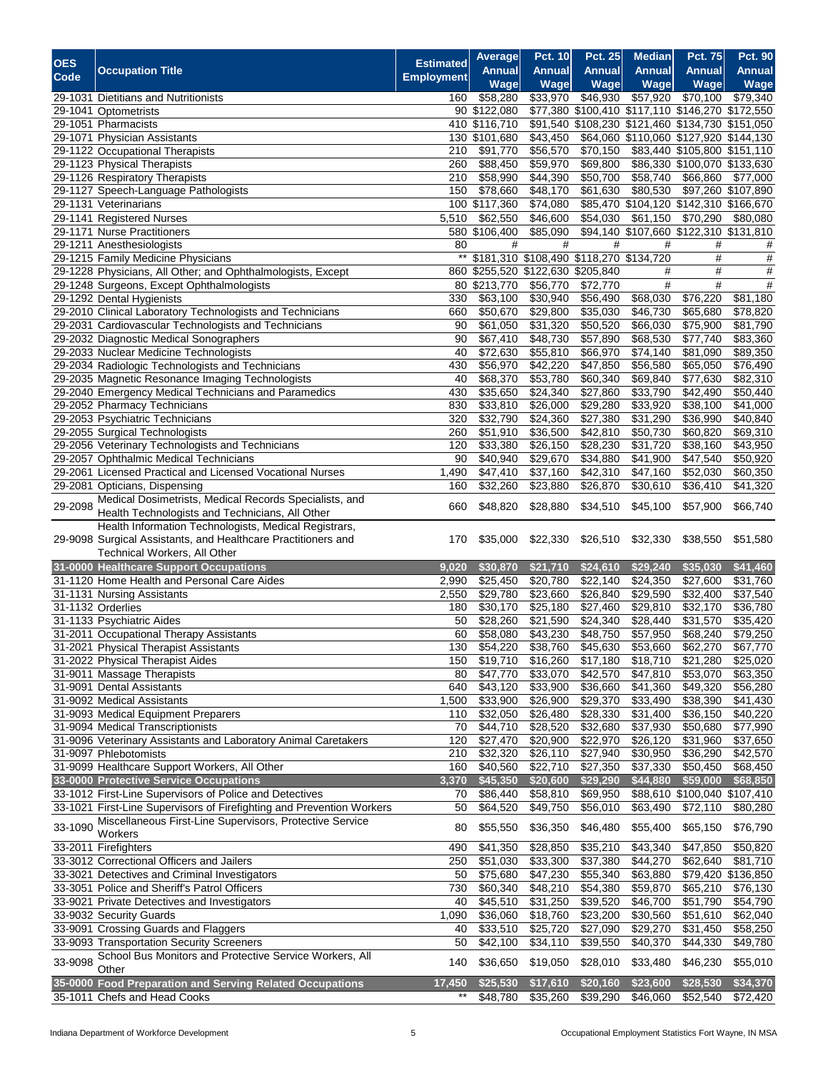| <b>OES</b> |                                                                                                     | <b>Estimated</b>  | Average              | <b>Pct. 10</b>                          | <b>Pct. 25</b>       | <b>Median</b>                                    | <b>Pct. 75</b>                           | <b>Pct. 90</b>       |
|------------|-----------------------------------------------------------------------------------------------------|-------------------|----------------------|-----------------------------------------|----------------------|--------------------------------------------------|------------------------------------------|----------------------|
| Code       | <b>Occupation Title</b>                                                                             | <b>Employment</b> | <b>Annual</b>        | <b>Annual</b>                           | <b>Annual</b>        | <b>Annual</b>                                    | <b>Annual</b>                            | <b>Annual</b>        |
|            |                                                                                                     |                   | Wage                 | Wage                                    | Wage                 | Wage                                             | Wage                                     | <b>Wage</b>          |
|            | 29-1031 Dietitians and Nutritionists                                                                | 160               | \$58,280             | \$33,970                                | \$46,930             | \$57,920                                         | \$70,100                                 | \$79,340             |
|            | 29-1041 Optometrists                                                                                |                   | 90 \$122,080         |                                         |                      | \$77,380 \$100,410 \$117,110 \$146,270 \$172,550 |                                          |                      |
|            | 29-1051 Pharmacists                                                                                 |                   | 410 \$116,710        |                                         |                      | \$91,540 \$108,230 \$121,460 \$134,730 \$151,050 |                                          |                      |
|            | 29-1071 Physician Assistants                                                                        |                   | 130 \$101,680        | \$43,450                                |                      | \$64,060 \$110,060 \$127,920 \$144,130           |                                          |                      |
|            | 29-1122 Occupational Therapists                                                                     | 210               | \$91,770             | \$56,570                                | \$70,150             |                                                  | \$83,440 \$105,800 \$151,110             |                      |
|            | 29-1123 Physical Therapists                                                                         | 260<br>210        | \$88,450<br>\$58,990 | \$59,970<br>\$44,390                    | \$69,800<br>\$50,700 | \$58,740                                         | \$86,330 \$100,070 \$133,630<br>\$66,860 | $\sqrt{$77,000}$     |
|            | 29-1126 Respiratory Therapists<br>29-1127 Speech-Language Pathologists                              | 150               | \$78,660             | \$48,170                                | \$61,630             | \$80,530                                         |                                          | \$97,260 \$107,890   |
|            | 29-1131 Veterinarians                                                                               |                   | 100 \$117,360        | \$74,080                                |                      | \$85,470 \$104,120 \$142,310 \$166,670           |                                          |                      |
|            | 29-1141 Registered Nurses                                                                           | 5,510             | \$62,550             | \$46,600                                | \$54,030             | \$61,150                                         | \$70,290                                 | \$80,080             |
|            | 29-1171 Nurse Practitioners                                                                         |                   | 580 \$106,400        | \$85,090                                |                      | \$94,140 \$107,660 \$122,310 \$131,810           |                                          |                      |
|            | 29-1211 Anesthesiologists                                                                           | 80                | #                    | #                                       | #                    | #                                                | #                                        | #                    |
|            | 29-1215 Family Medicine Physicians                                                                  | $^{\star\star}$   |                      | \$181,310 \$108,490 \$118,270 \$134,720 |                      |                                                  | #                                        | #                    |
|            | 29-1228 Physicians, All Other; and Ophthalmologists, Except                                         |                   |                      | 860 \$255,520 \$122,630 \$205,840       |                      | #                                                | $\#$                                     | #                    |
|            | 29-1248 Surgeons, Except Ophthalmologists                                                           |                   | 80 \$213,770         | \$56,770                                | \$72,770             | $\#$                                             | $\#$                                     | $\#$                 |
|            | 29-1292 Dental Hygienists                                                                           | 330               | \$63,100             | \$30,940                                | \$56,490             | \$68,030                                         | \$76,220                                 | \$81,180             |
|            | 29-2010 Clinical Laboratory Technologists and Technicians                                           | 660               | \$50,670             | \$29,800                                | \$35,030             | \$46,730                                         | \$65,680                                 | \$78,820             |
|            | 29-2031 Cardiovascular Technologists and Technicians                                                | 90                | \$61,050             | $\overline{$}31,320$                    | \$50,520             | \$66,030                                         | \$75,900                                 | \$81,790             |
|            | 29-2032 Diagnostic Medical Sonographers                                                             | 90                | $\overline{$}67,410$ | \$48,730                                | \$57,890             | \$68,530                                         | \$77,740                                 | \$83,360             |
|            | 29-2033 Nuclear Medicine Technologists                                                              | 40                | \$72,630             | \$55,810                                | \$66,970             | \$74,140                                         | \$81,090                                 | \$89,350             |
|            | 29-2034 Radiologic Technologists and Technicians                                                    | 430               | \$56,970             | \$42,220                                | \$47,850             | \$56,580                                         | \$65,050                                 | $\overline{$76,490}$ |
|            | 29-2035 Magnetic Resonance Imaging Technologists                                                    | 40                | \$68,370             | \$53,780                                | \$60,340             | \$69,840                                         | \$77,630                                 | \$82,310             |
|            | 29-2040 Emergency Medical Technicians and Paramedics                                                | 430               | \$35,650             | $\overline{$}24,340$                    | \$27,860             | \$33,790                                         | \$42,490                                 | \$50,440             |
|            | 29-2052 Pharmacy Technicians                                                                        | 830               | \$33,810             | \$26,000                                | \$29,280             | \$33,920                                         | \$38,100                                 | \$41,000             |
|            | 29-2053 Psychiatric Technicians                                                                     | 320               | \$32,790             | \$24,360                                | \$27,380             | \$31,290                                         | \$36,990                                 | \$40,840             |
|            | 29-2055 Surgical Technologists                                                                      | 260               | \$51,910             | \$36,500                                | \$42,810             | \$50,730                                         | \$60,820                                 | \$69,310             |
|            | 29-2056 Veterinary Technologists and Technicians                                                    | 120               | \$33,380             | \$26,150                                | \$28,230             | \$31,720                                         | \$38,160                                 | \$43,950             |
|            | 29-2057 Ophthalmic Medical Technicians                                                              | 90                | \$40,940             | \$29,670                                | \$34,880             | \$41,900                                         | \$47,540                                 | \$50,920             |
|            | 29-2061 Licensed Practical and Licensed Vocational Nurses                                           | 1,490             | \$47,410             | \$37,160                                | \$42,310             | \$47,160                                         | \$52,030                                 | \$60,350             |
|            | 29-2081 Opticians, Dispensing                                                                       | 160               | \$32,260             | \$23,880                                | \$26,870             | \$30,610                                         | \$36,410                                 | \$41,320             |
| 29-2098    | Medical Dosimetrists, Medical Records Specialists, and                                              | 660               | \$48,820             | \$28,880                                | \$34,510             | \$45,100                                         | \$57,900                                 | \$66,740             |
|            | Health Technologists and Technicians, All Other                                                     |                   |                      |                                         |                      |                                                  |                                          |                      |
|            | Health Information Technologists, Medical Registrars,                                               |                   |                      |                                         |                      |                                                  |                                          |                      |
|            | 29-9098 Surgical Assistants, and Healthcare Practitioners and                                       | 170               | \$35,000             | \$22,330                                | \$26,510             | \$32,330                                         | \$38,550                                 | \$51,580             |
|            | Technical Workers, All Other                                                                        |                   |                      |                                         |                      |                                                  |                                          |                      |
|            | 31-0000 Healthcare Support Occupations                                                              | 9,020             | \$30,870             | \$21,710                                | \$24,610             | \$29,240                                         | \$35,030                                 | \$41,460             |
|            | 31-1120 Home Health and Personal Care Aides                                                         | 2,990             | \$25,450             | \$20,780                                | \$22,140             | \$24,350                                         | \$27,600                                 | \$31,760             |
|            | 31-1131 Nursing Assistants                                                                          | 2,550             | 329,780              | \$23,660                                | \$26,840             | \$29,590                                         | 32,400                                   | \$37,540             |
|            | 31-1132 Orderlies                                                                                   | 180               | $\overline{$}30,170$ | \$25,180                                | \$27,460             | \$29,810                                         | \$32,170                                 | $\overline{$}36,780$ |
|            | 31-1133 Psychiatric Aides                                                                           | 50                | \$28,260             | \$21,590                                | $\sqrt{$24,340}$     | \$28,440                                         | \$31,570                                 | \$35,420             |
|            | 31-2011 Occupational Therapy Assistants                                                             | 60                | \$58,080             | \$43,230                                | \$48,750             | \$57,950                                         | \$68,240                                 | \$79,250             |
|            | 31-2021 Physical Therapist Assistants                                                               | 130               | \$54,220             | \$38,760                                | \$45,630             | \$53,660                                         | \$62,270                                 | \$67,770             |
|            | 31-2022 Physical Therapist Aides                                                                    | 150               | \$19,710             | \$16,260                                | \$17,180             | \$18,710                                         | \$21,280                                 | \$25,020             |
|            | 31-9011 Massage Therapists                                                                          | 80                | \$47,770             | \$33,070                                | \$42,570             | \$47,810                                         | \$53,070                                 | \$63,350             |
|            | 31-9091 Dental Assistants                                                                           | 640               | \$43,120             | \$33,900                                | \$36,660             | \$41,360                                         | \$49,320                                 | \$56,280             |
|            | 31-9092 Medical Assistants                                                                          | 1,500             | \$33,900             | \$26,900                                | \$29,370             | \$33,490                                         | \$38,390                                 | \$41,430             |
|            | 31-9093 Medical Equipment Preparers                                                                 | 110               | \$32,050             | $\overline{$}26,480$                    | \$28,330             | \$31,400                                         | \$36,150                                 | \$40,220             |
|            | 31-9094 Medical Transcriptionists<br>31-9096 Veterinary Assistants and Laboratory Animal Caretakers | 70<br>120         | $\sqrt{$44,710}$     | \$28,520                                | \$32,680             | \$37,930                                         | \$50,680                                 | \$77,990<br>\$37,650 |
|            | 31-9097 Phlebotomists                                                                               | 210               | \$27,470<br>\$32,320 | \$20,900<br>\$26,110                    | \$22,970<br>\$27,940 | \$26,120<br>\$30,950                             | \$31,960<br>\$36,290                     | \$42,570             |
|            | 31-9099 Healthcare Support Workers, All Other                                                       | 160               | \$40,560             | \$22,710                                | \$27,350             | \$37,330                                         | $\overline{$}50,450$                     | \$68,450             |
|            | 33-0000 Protective Service Occupations                                                              | 3,370             | \$45,350             | \$20,600                                | \$29,290             | \$44,880                                         | \$59,000                                 | \$68,850             |
|            | 33-1012 First-Line Supervisors of Police and Detectives                                             | 70                | \$86,440             | \$58,810                                | \$69,950             | \$88,610                                         | \$100,040 \$107,410                      |                      |
|            | 33-1021 First-Line Supervisors of Firefighting and Prevention Workers                               | 50                | \$64,520             | \$49,750                                | \$56,010             | \$63,490                                         | \$72,110                                 | \$80,280             |
|            | Miscellaneous First-Line Supervisors, Protective Service                                            |                   |                      |                                         |                      |                                                  |                                          |                      |
| 33-1090    | Workers                                                                                             | 80                | \$55,550             | \$36,350                                | \$46,480             | \$55,400                                         | \$65,150                                 | \$76,790             |
|            | 33-2011 Firefighters                                                                                | 490               | \$41,350             | \$28,850                                | \$35,210             | \$43,340                                         | \$47,850                                 | \$50,820             |
|            | 33-3012 Correctional Officers and Jailers                                                           | 250               | \$51,030             | \$33,300                                | \$37,380             | \$44,270                                         | \$62,640                                 | \$81,710             |
|            | 33-3021 Detectives and Criminal Investigators                                                       | 50                | \$75,680             | \$47,230                                | \$55,340             | \$63,880                                         |                                          | \$79,420 \$136,850   |
|            | 33-3051 Police and Sheriff's Patrol Officers                                                        | 730               | \$60,340             | \$48,210                                | \$54,380             | \$59,870                                         | \$65,210                                 | \$76,130             |
|            | 33-9021 Private Detectives and Investigators                                                        | 40                | \$45,510             | \$31,250                                | \$39,520             | \$46,700                                         | \$51,790                                 | \$54,790             |
|            | 33-9032 Security Guards                                                                             | 1,090             | \$36,060             | \$18,760                                | \$23,200             | \$30,560                                         | \$51,610                                 | \$62,040             |
|            | 33-9091 Crossing Guards and Flaggers                                                                | 40                | \$33,510             | \$25,720                                | \$27,090             | \$29,270                                         | \$31,450                                 | \$58,250             |
|            | 33-9093 Transportation Security Screeners                                                           | 50                | \$42,100             | \$34,110                                | \$39,550             | \$40,370                                         | \$44,330                                 | \$49,780             |
|            | School Bus Monitors and Protective Service Workers, All                                             |                   |                      |                                         |                      |                                                  |                                          |                      |
| 33-9098    | Other                                                                                               | 140               | \$36,650             | \$19,050                                | \$28,010             | \$33,480                                         | \$46,230                                 | \$55,010             |
|            | 35-0000 Food Preparation and Serving Related Occupations                                            | 17,450            | \$25,530             | \$17,610                                | \$20,160             | \$23,600                                         | \$28,530                                 | \$34,370             |
|            | 35-1011 Chefs and Head Cooks                                                                        | $***$             | \$48,780             | \$35,260                                | \$39,290             | \$46,060                                         | \$52,540                                 | \$72,420             |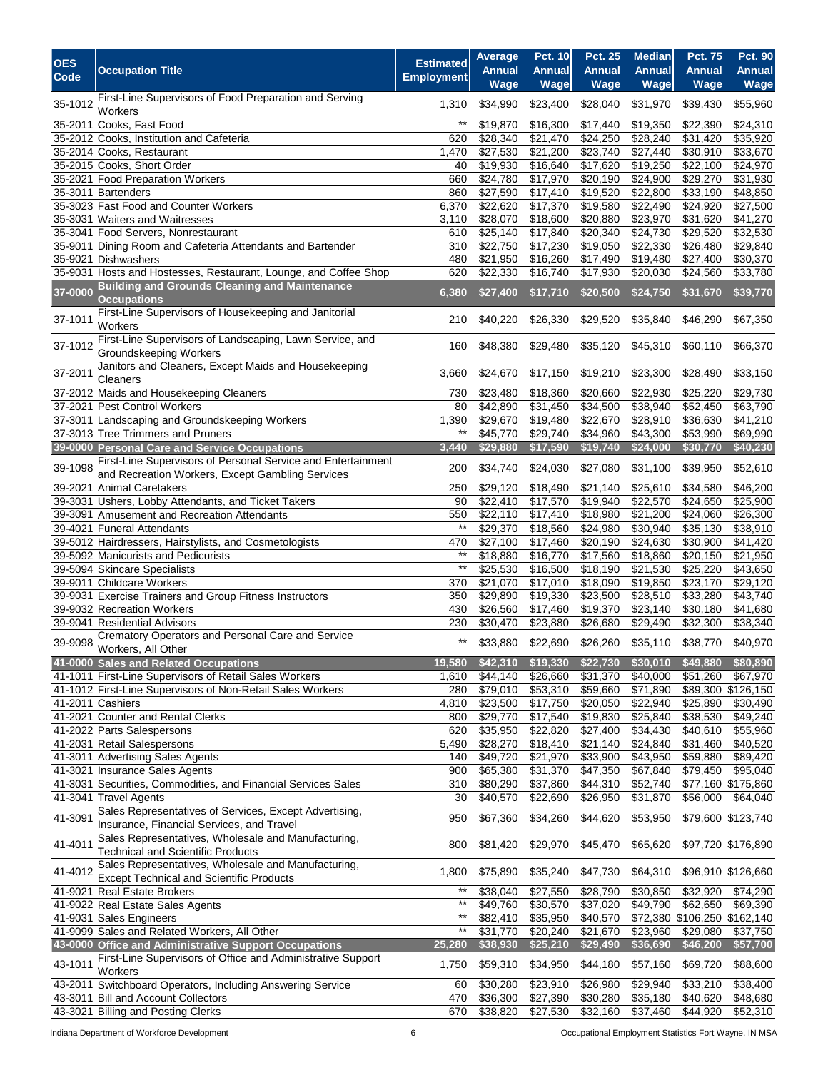| <b>OES</b><br>Code | <b>Occupation Title</b>                                                                                          | <b>Estimated</b><br><b>Employment</b> | Average<br><b>Annual</b><br>Wage | <b>Pct. 10</b><br><b>Annual</b><br>Wage | <b>Pct. 25</b><br><b>Annual</b><br>Wage | <b>Median</b><br><b>Annual</b><br>Wage | <b>Pct. 75</b><br><b>Annual</b><br>Wage | <b>Pct. 90</b><br>Annual<br><b>Wage</b> |
|--------------------|------------------------------------------------------------------------------------------------------------------|---------------------------------------|----------------------------------|-----------------------------------------|-----------------------------------------|----------------------------------------|-----------------------------------------|-----------------------------------------|
| 35-1012            | First-Line Supervisors of Food Preparation and Serving<br>Workers                                                | 1,310                                 | \$34,990                         | \$23,400                                | \$28,040                                | \$31,970                               | \$39,430                                | \$55,960                                |
|                    | 35-2011 Cooks, Fast Food                                                                                         | $***$                                 | \$19,870                         | \$16,300                                | \$17,440                                | \$19,350                               | \$22,390                                | \$24,310                                |
|                    | 35-2012 Cooks, Institution and Cafeteria                                                                         | 620                                   | \$28,340                         | \$21,470                                | \$24,250                                | \$28,240                               | \$31,420                                | \$35,920                                |
|                    | 35-2014 Cooks, Restaurant                                                                                        | 1,470                                 | \$27,530                         | \$21,200                                | \$23,740                                | \$27,440                               | \$30,910                                | \$33,670                                |
|                    | 35-2015 Cooks, Short Order                                                                                       | 40                                    | \$19,930                         | \$16,640                                | \$17,620                                | \$19,250                               | \$22,100                                | \$24,970                                |
|                    | 35-2021 Food Preparation Workers<br>35-3011 Bartenders                                                           | 660<br>860                            | \$24,780<br>\$27,590             | \$17,970<br>\$17,410                    | \$20,190<br>\$19,520                    | \$24,900<br>\$22,800                   | \$29,270<br>\$33,190                    | \$31,930<br>\$48,850                    |
|                    | 35-3023 Fast Food and Counter Workers                                                                            | 6,370                                 | \$22,620                         | \$17,370                                | $\overline{$}19,580$                    | \$22,490                               | \$24,920                                | \$27,500                                |
|                    | 35-3031 Waiters and Waitresses                                                                                   | 3,110                                 | \$28,070                         | \$18,600                                | \$20,880                                | \$23,970                               | \$31,620                                | \$41,270                                |
|                    | 35-3041 Food Servers, Nonrestaurant                                                                              | 610                                   | \$25,140                         | \$17,840                                | \$20,340                                | \$24,730                               | \$29,520                                | \$32,530                                |
|                    | 35-9011 Dining Room and Cafeteria Attendants and Bartender                                                       | 310                                   | \$22,750                         | \$17,230                                | \$19,050                                | \$22,330                               | \$26,480                                | \$29,840                                |
|                    | 35-9021 Dishwashers                                                                                              | 480                                   | \$21,950                         | \$16,260                                | \$17,490                                | \$19,480                               | $\sqrt{$27,400}$                        | \$30,370                                |
|                    | 35-9031 Hosts and Hostesses, Restaurant, Lounge, and Coffee Shop                                                 | 620                                   | \$22,330                         | \$16,740                                | \$17,930                                | \$20,030                               | \$24,560                                | \$33,780                                |
| 37-0000            | <b>Building and Grounds Cleaning and Maintenance</b><br><b>Occupations</b>                                       | 6,380                                 | \$27,400                         | \$17,710                                | \$20,500                                | \$24,750                               | \$31,670                                | \$39,770                                |
| 37-1011            | First-Line Supervisors of Housekeeping and Janitorial<br>Workers                                                 | 210                                   | \$40,220                         | \$26,330                                | \$29,520                                | \$35,840                               | \$46,290                                | \$67,350                                |
| 37-1012            | First-Line Supervisors of Landscaping, Lawn Service, and<br>Groundskeeping Workers                               | 160                                   | \$48,380                         | \$29,480                                | \$35,120                                | \$45,310                               | \$60,110                                | \$66,370                                |
| 37-2011            | Janitors and Cleaners, Except Maids and Housekeeping<br>Cleaners                                                 | 3,660                                 | \$24,670                         | \$17,150                                | \$19,210                                | \$23,300                               | \$28,490                                | \$33,150                                |
|                    | 37-2012 Maids and Housekeeping Cleaners                                                                          | 730                                   | \$23,480                         | \$18,360                                | \$20,660                                | \$22,930                               | \$25,220                                | \$29,730                                |
|                    | 37-2021 Pest Control Workers                                                                                     | 80                                    | \$42,890                         | 331,450                                 | \$34,500                                | \$38,940                               | \$52,450                                | \$63,790                                |
|                    | 37-3011 Landscaping and Groundskeeping Workers<br>37-3013 Tree Trimmers and Pruners                              | 1,390<br>$***$                        | \$29,670<br>\$45,770             | \$19,480<br>\$29,740                    | \$22,670<br>\$34,960                    | \$28,910<br>\$43,300                   | \$36,630<br>\$53,990                    | \$41,210<br>\$69,990                    |
|                    | 39-0000 Personal Care and Service Occupations                                                                    | 3.440                                 | \$29,880                         | \$17,590                                | \$19,740                                | \$24,000                               | \$30,770                                | \$40,230                                |
| 39-1098            | First-Line Supervisors of Personal Service and Entertainment<br>and Recreation Workers, Except Gambling Services | 200                                   | \$34,740                         | \$24,030                                | \$27,080                                | \$31,100                               | \$39,950                                | \$52,610                                |
|                    | 39-2021 Animal Caretakers                                                                                        | 250                                   | \$29,120                         | \$18,490                                | \$21,140                                | \$25,610                               | \$34,580                                | \$46,200                                |
|                    | 39-3031 Ushers, Lobby Attendants, and Ticket Takers                                                              | 90                                    | \$22,410                         | \$17,570                                | \$19,940                                | \$22,570                               | \$24,650                                | \$25,900                                |
|                    | 39-3091 Amusement and Recreation Attendants                                                                      | 550                                   | \$22,110                         | \$17,410                                | \$18,980                                | \$21,200                               | \$24,060                                | \$26,300                                |
|                    | 39-4021 Funeral Attendants                                                                                       | $^{\star\star}$                       | \$29,370                         | \$18,560                                | \$24,980                                | \$30,940                               | \$35,130                                | \$38,910                                |
|                    | 39-5012 Hairdressers, Hairstylists, and Cosmetologists                                                           | 470                                   | \$27,100                         | \$17,460                                | \$20,190                                | \$24,630                               | \$30,900                                | \$41,420                                |
|                    | 39-5092 Manicurists and Pedicurists                                                                              | $***$<br>$***$                        | \$18,880                         | \$16,770                                | \$17,560                                | \$18,860                               | \$20,150                                | \$21,950                                |
|                    | 39-5094 Skincare Specialists<br>39-9011 Childcare Workers                                                        | 370                                   | \$25,530<br>\$21,070             | \$16,500<br>\$17,010                    | \$18,190<br>\$18,090                    | \$21,530<br>\$19,850                   | \$25,220<br>\$23,170                    | \$43,650<br>\$29,120                    |
|                    | 39-9031 Exercise Trainers and Group Fitness Instructors                                                          | 350                                   | \$29,890                         | \$19,330                                | \$23,500                                | \$28,510                               | \$33,280                                | \$43,740                                |
|                    | 39-9032 Recreation Workers                                                                                       | 430                                   | \$26,560                         | \$17,460                                | \$19,370                                | \$23,140                               | \$30,180                                | \$41,680                                |
|                    | 39-9041 Residential Advisors                                                                                     | 230                                   | \$30,470                         | \$23,880                                | \$26,680                                | \$29,490                               | \$32,300                                | \$38,340                                |
| 39-9098            | Crematory Operators and Personal Care and Service<br>Workers, All Other                                          | **                                    | \$33,880                         | \$22,690                                | \$26,260                                | \$35,110                               | \$38,770                                | \$40,970                                |
|                    | 41-0000 Sales and Related Occupations                                                                            | 19,580                                | \$42,310                         | \$19,330                                | \$22,730                                | \$30,010                               | \$49,880                                | \$80,890                                |
|                    | 41-1011 First-Line Supervisors of Retail Sales Workers                                                           | 1,610                                 | \$44,140                         | \$26,660                                | \$31,370                                | \$40,000                               | \$51,260                                | \$67,970                                |
|                    | 41-1012 First-Line Supervisors of Non-Retail Sales Workers                                                       | 280                                   | \$79,010                         | \$53,310                                | \$59,660                                | \$71,890                               |                                         | \$89,300 \$126,150                      |
|                    | 41-2011 Cashiers                                                                                                 | 4,810                                 | \$23,500                         | \$17,750                                | \$20,050                                | \$22,940                               | \$25,890                                | \$30,490                                |
|                    | 41-2021 Counter and Rental Clerks<br>41-2022 Parts Salespersons                                                  | 800<br>620                            | \$29,770<br>\$35,950             | \$17,540<br>\$22,820                    | \$19,830<br>\$27,400                    | \$25,840<br>\$34,430                   | \$38,530<br>\$40,610                    | \$49,240<br>\$55,960                    |
|                    | 41-2031 Retail Salespersons                                                                                      | 5,490                                 | \$28,270                         | \$18,410                                | \$21,140                                | \$24,840                               | \$31,460                                | \$40,520                                |
|                    | 41-3011 Advertising Sales Agents                                                                                 | 140                                   | \$49,720                         | \$21,970                                | \$33,900                                | \$43,950                               | \$59,880                                | \$89,420                                |
|                    | 41-3021 Insurance Sales Agents                                                                                   | 900                                   | \$65,380                         | \$31,370                                | \$47,350                                | \$67,840                               | \$79,450                                | \$95,040                                |
|                    | 41-3031 Securities, Commodities, and Financial Services Sales                                                    | 310                                   | \$80,290                         | \$37,860                                | \$44,310                                | \$52,740                               |                                         | \$77,160 \$175,860                      |
|                    | 41-3041 Travel Agents                                                                                            | 30                                    | \$40,570                         | \$22,690                                | \$26,950                                | \$31,870                               | \$56,000                                | \$64,040                                |
| 41-3091            | Sales Representatives of Services, Except Advertising,<br>Insurance, Financial Services, and Travel              | 950                                   | \$67,360                         | \$34,260                                | \$44,620                                | \$53,950                               |                                         | \$79,600 \$123,740                      |
| 41-4011            | Sales Representatives, Wholesale and Manufacturing,<br><b>Technical and Scientific Products</b>                  | 800                                   | \$81,420                         | \$29,970                                | \$45,470                                | \$65,620                               |                                         | \$97,720 \$176,890                      |
| 41-4012            | Sales Representatives, Wholesale and Manufacturing,<br><b>Except Technical and Scientific Products</b>           | 1,800                                 | \$75,890                         | \$35,240                                | \$47,730                                | \$64,310                               |                                         | \$96,910 \$126,660                      |
|                    | 41-9021 Real Estate Brokers                                                                                      | $***$                                 | \$38,040                         | \$27,550                                | \$28,790                                | \$30,850                               | \$32,920                                | \$74,290                                |
|                    | 41-9022 Real Estate Sales Agents                                                                                 | $***$                                 | $\overline{$}49,760$             | \$30,570                                | \$37,020                                | \$49,790                               | \$62,650                                | \$69,390                                |
|                    | 41-9031 Sales Engineers                                                                                          | $^{\star\star}$                       | \$82,410                         | \$35,950                                | \$40,570                                |                                        |                                         | \$72,380 \$106,250 \$162,140            |
|                    | 41-9099 Sales and Related Workers, All Other<br>43-0000 Office and Administrative Support Occupations            | $^{\ast\ast}$<br>25,280               | \$31,770<br>\$38,930             | \$20,240<br>\$25,210                    | \$21,670<br>\$29,490                    | \$23,960<br>\$36,690                   | \$29,080<br>\$46,200                    | \$37,750<br>\$57,700                    |
|                    | First-Line Supervisors of Office and Administrative Support                                                      |                                       |                                  |                                         |                                         |                                        |                                         |                                         |
| 43-1011            | Workers                                                                                                          | 1,750                                 | \$59,310                         | \$34,950                                | \$44,180                                | \$57,160                               | \$69,720                                | \$88,600                                |
|                    | 43-2011 Switchboard Operators, Including Answering Service                                                       | 60                                    | \$30,280                         | \$23,910                                | \$26,980                                | \$29,940                               | \$33,210                                | \$38,400                                |
| 43-3011            | <b>Bill and Account Collectors</b>                                                                               | 470                                   | \$36,300                         | \$27,390                                | \$30,280                                | \$35,180                               | \$40,620                                | \$48,680                                |
|                    | 43-3021 Billing and Posting Clerks                                                                               | 670                                   | \$38,820                         | \$27,530                                | \$32,160                                | \$37,460                               | \$44,920                                | \$52,310                                |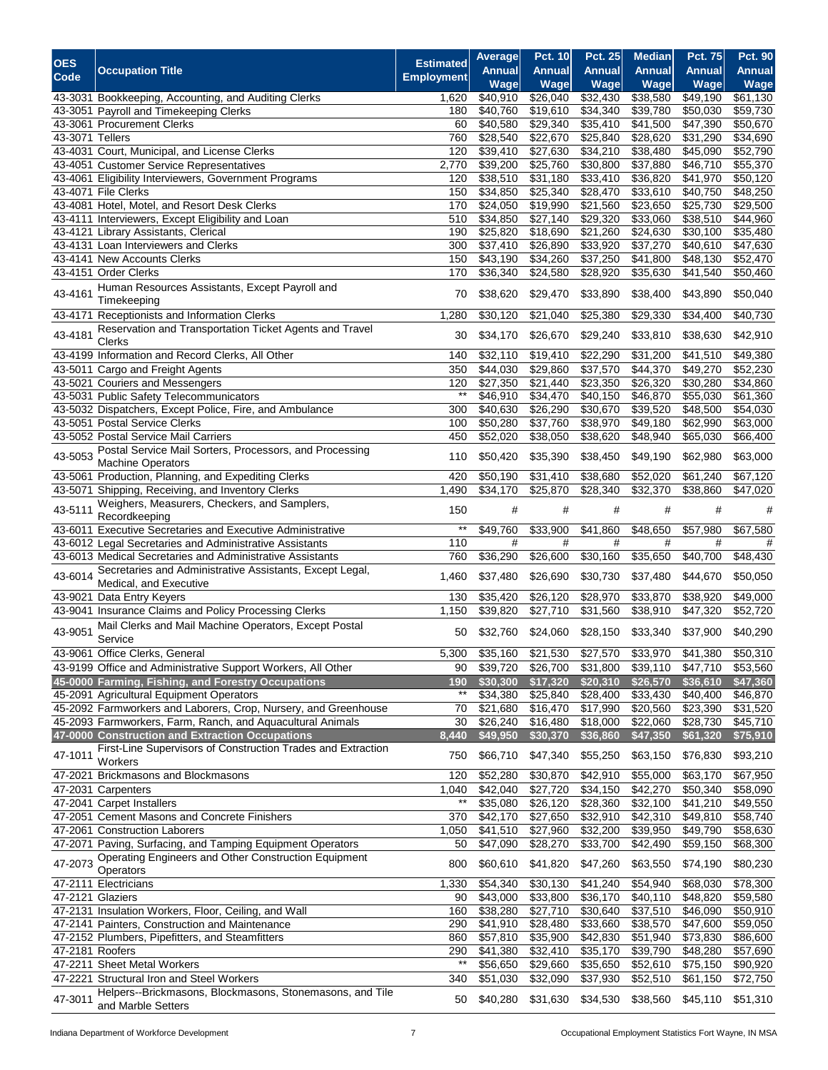| <b>OES</b>      |                                                                                    | <b>Estimated</b>       | Average              | <b>Pct. 10</b>       | <b>Pct. 25</b>       | <b>Median</b>        | <b>Pct. 75</b>       | <b>Pct. 90</b>       |
|-----------------|------------------------------------------------------------------------------------|------------------------|----------------------|----------------------|----------------------|----------------------|----------------------|----------------------|
| Code            | <b>Occupation Title</b>                                                            | <b>Employment</b>      | <b>Annual</b>        | <b>Annual</b>        | <b>Annual</b>        | <b>Annual</b>        | <b>Annual</b>        | <b>Annual</b>        |
|                 |                                                                                    |                        | Wage                 | <b>Wage</b>          | Wage                 | Wage                 | Wage                 | <b>Wage</b>          |
|                 | 43-3031 Bookkeeping, Accounting, and Auditing Clerks                               | 1.620                  | \$40,910             | \$26,040             | \$32,430             | \$38,580             | \$49,190             | \$61,130             |
| 43-3051         | Payroll and Timekeeping Clerks<br>43-3061 Procurement Clerks                       | 180<br>60              | \$40,760<br>\$40,580 | \$19,610             | \$34,340<br>\$35,410 | \$39,780<br>\$41,500 | \$50,030<br>\$47,390 | \$59,730<br>\$50,670 |
| 43-3071 Tellers |                                                                                    | 760                    | \$28,540             | \$29,340<br>\$22,670 | \$25,840             | \$28,620             | \$31,290             | \$34,690             |
|                 | 43-4031 Court, Municipal, and License Clerks                                       | 120                    | \$39,410             | \$27,630             | \$34,210             | \$38,480             | \$45,090             | \$52,790             |
|                 | 43-4051 Customer Service Representatives                                           | 2,770                  | \$39,200             | \$25,760             | \$30,800             | \$37,880             | \$46,710             | \$55,370             |
|                 | 43-4061 Eligibility Interviewers, Government Programs                              | 120                    | \$38,510             | \$31,180             | \$33,410             | \$36,820             | \$41,970             | \$50,120             |
|                 | 43-4071 File Clerks                                                                | 150                    | \$34,850             | \$25,340             | \$28,470             | \$33,610             | \$40,750             | \$48,250             |
|                 | 43-4081 Hotel, Motel, and Resort Desk Clerks                                       | 170                    | \$24,050             | \$19,990             | \$21,560             | \$23,650             | \$25,730             | \$29,500             |
|                 | 43-4111 Interviewers, Except Eligibility and Loan                                  | 510                    | \$34,850             | $\sqrt{$27,140}$     | \$29,320             | \$33,060             | \$38,510             | \$44,960             |
|                 | 43-4121 Library Assistants, Clerical                                               | 190                    | \$25.820             | \$18,690             | \$21,260             | \$24,630             | \$30,100             | \$35,480             |
|                 | 43-4131 Loan Interviewers and Clerks                                               | 300                    | \$37,410             | \$26,890             | \$33,920             | \$37,270             | \$40,610             | \$47,630             |
|                 | 43-4141 New Accounts Clerks                                                        | 150                    | \$43,190             | \$34,260             | \$37,250             | \$41,800             | \$48,130             | \$52,470             |
|                 | 43-4151 Order Clerks                                                               | 170                    | \$36,340             | \$24,580             | \$28,920             | \$35,630             | \$41,540             | \$50,460             |
| 43-4161         | Human Resources Assistants, Except Payroll and                                     | 70                     | \$38,620             | \$29,470             | \$33,890             | \$38,400             | \$43,890             | \$50,040             |
|                 | Timekeeping                                                                        |                        |                      |                      |                      |                      |                      |                      |
| 43-4171         | Receptionists and Information Clerks                                               | 1,280                  | \$30,120             | \$21,040             | \$25,380             | \$29,330             | \$34,400             | \$40,730             |
| 43-4181         | Reservation and Transportation Ticket Agents and Travel                            | 30                     | \$34,170             | \$26,670             | \$29,240             | \$33,810             | \$38,630             | \$42,910             |
|                 | <b>Clerks</b>                                                                      |                        |                      |                      |                      |                      |                      |                      |
|                 | 43-4199 Information and Record Clerks, All Other                                   | 140                    | \$32,110             | \$19,410             | \$22,290             | \$31,200             | \$41,510             | \$49,380             |
|                 | 43-5011 Cargo and Freight Agents                                                   | 350                    | \$44,030             | \$29,860             | \$37,570             | \$44.370             | \$49,270             | \$52,230             |
|                 | 43-5021 Couriers and Messengers<br>43-5031 Public Safety Telecommunicators         | 120<br>$^{\star\star}$ | \$27,350<br>\$46,910 | \$21,440<br>\$34,470 | \$23,350<br>\$40,150 | \$26,320<br>\$46,870 | \$30,280<br>\$55,030 | \$34,860<br>\$61,360 |
|                 | 43-5032 Dispatchers, Except Police, Fire, and Ambulance                            | 300                    | \$40,630             | \$26,290             | \$30,670             | \$39,520             | \$48,500             | \$54,030             |
|                 | 43-5051 Postal Service Clerks                                                      | 100                    | \$50,280             | \$37,760             | \$38,970             | \$49,180             | \$62,990             | \$63,000             |
|                 | 43-5052 Postal Service Mail Carriers                                               | 450                    | \$52,020             | \$38,050             | \$38,620             | \$48,940             | \$65,030             | \$66,400             |
|                 | Postal Service Mail Sorters, Processors, and Processing                            |                        |                      |                      |                      |                      |                      |                      |
| 43-5053         | <b>Machine Operators</b>                                                           | 110                    | \$50,420             | \$35,390             | \$38,450             | \$49,190             | \$62,980             | \$63,000             |
|                 | 43-5061 Production, Planning, and Expediting Clerks                                | 420                    | \$50,190             | \$31,410             | \$38,680             | \$52,020             | \$61,240             | \$67,120             |
| 43-5071         | Shipping, Receiving, and Inventory Clerks                                          | 1,490                  | \$34,170             | \$25,870             | \$28,340             | \$32,370             | \$38,860             | \$47,020             |
| 43-5111         | Weighers, Measurers, Checkers, and Samplers,                                       | 150                    | #                    | #                    | #                    | #                    | #                    | #                    |
|                 | Recordkeeping                                                                      |                        |                      |                      |                      |                      |                      |                      |
|                 | 43-6011 Executive Secretaries and Executive Administrative                         | $^{\star\star}$        | \$49,760             | \$33,900             | \$41,860             | \$48,650             | \$57,980             | \$67,580             |
|                 | 43-6012 Legal Secretaries and Administrative Assistants                            | 110                    | #                    | $\#$                 | #                    | #                    | #                    | #                    |
|                 | 43-6013 Medical Secretaries and Administrative Assistants                          | 760                    | \$36,290             | \$26,600             | \$30,160             | \$35,650             | \$40,700             | \$48,430             |
| 43-6014         | Secretaries and Administrative Assistants, Except Legal,                           | 1,460                  | \$37,480             | \$26,690             | \$30,730             | \$37,480             | \$44,670             | \$50,050             |
|                 | Medical, and Executive                                                             |                        |                      | \$26,120             | \$28,970             |                      |                      | \$49,000             |
|                 | 43-9021 Data Entry Keyers<br>43-9041 Insurance Claims and Policy Processing Clerks | 130<br>1,150           | \$35,420<br>\$39,820 | \$27,710             | \$31,560             | \$33,870<br>\$38,910 | \$38,920<br>\$47,320 | \$52,720             |
|                 | Mail Clerks and Mail Machine Operators, Except Postal                              |                        |                      |                      |                      |                      |                      |                      |
| 43-9051         | Service                                                                            | 50                     | \$32,760             | \$24,060             | \$28,150             | \$33,340             | \$37,900             | \$40,290             |
|                 | 43-9061 Office Clerks, General                                                     | 5,300                  | \$35,160             | \$21,530             | \$27,570             | \$33,970             | \$41,380             | \$50,310             |
|                 | 43-9199 Office and Administrative Support Workers, All Other                       | 90                     | \$39,720             |                      | \$26,700 \$31,800    | \$39,110             | \$47,710             | \$53,560             |
|                 | 45-0000 Farming, Fishing, and Forestry Occupations                                 | 190                    | \$30,300             | \$17,320             | \$20,310             | \$26,570             | \$36,610             | \$47,360             |
|                 | 45-2091 Agricultural Equipment Operators                                           | $***$                  | \$34,380             | \$25,840             | \$28,400             | \$33,430             | \$40,400             | \$46,870             |
|                 | 45-2092 Farmworkers and Laborers, Crop, Nursery, and Greenhouse                    | 70                     | \$21,680             | \$16,470             | \$17,990             | \$20,560             | \$23,390             | \$31,520             |
|                 | 45-2093 Farmworkers, Farm, Ranch, and Aquacultural Animals                         | 30                     | \$26,240             | \$16,480             | \$18,000             | \$22,060             | \$28,730             | \$45,710             |
|                 | 47-0000 Construction and Extraction Occupations                                    | 8,440                  | \$49,950             | \$30,370             | \$36,860             | \$47,350             | \$61,320             | \$75,910             |
| 47-1011         | First-Line Supervisors of Construction Trades and Extraction                       | 750                    | \$66,710             | \$47,340             | \$55,250             | \$63,150             | \$76,830             | \$93,210             |
|                 | Workers                                                                            |                        |                      |                      |                      |                      |                      |                      |
|                 | 47-2021 Brickmasons and Blockmasons                                                | 120                    | \$52,280             | \$30,870             | \$42,910             | \$55,000             | \$63,170             | \$67,950             |
|                 | 47-2031 Carpenters                                                                 | 1,040                  | \$42,040             | \$27,720             | \$34,150             | \$42,270             | \$50,340             | \$58,090             |
|                 | 47-2041 Carpet Installers                                                          | $***$                  | \$35,080             | \$26,120             | \$28,360             | \$32,100             | \$41,210             | \$49,550             |
|                 | 47-2051 Cement Masons and Concrete Finishers                                       | 370                    | \$42,170             | \$27,650             | \$32,910             | \$42,310             | \$49,810             | \$58,740             |
|                 | 47-2061 Construction Laborers                                                      | 1,050                  | \$41,510             | \$27,960             | \$32,200             | \$39,950             | \$49,790             | \$58,630             |
|                 | 47-2071 Paving, Surfacing, and Tamping Equipment Operators                         | 50                     | \$47,090             | \$28,270             | \$33,700             | \$42,490             | \$59,150             | \$68,300             |
| 47-2073         | Operating Engineers and Other Construction Equipment                               | 800                    | \$60,610             | \$41,820             | \$47,260             | \$63,550             | \$74,190             | \$80,230             |
|                 | Operators<br>47-2111 Electricians                                                  | 1,330                  | \$54,340             | \$30,130             | \$41,240             | \$54,940             | \$68,030             | \$78,300             |
|                 | 47-2121 Glaziers                                                                   | 90                     | \$43,000             | \$33,800             | \$36,170             | \$40,110             | \$48,820             | \$59,580             |
|                 | 47-2131 Insulation Workers, Floor, Ceiling, and Wall                               | 160                    | \$38,280             | \$27,710             | \$30,640             | \$37,510             | \$46,090             | \$50,910             |
|                 | 47-2141 Painters, Construction and Maintenance                                     | 290                    | \$41,910             | \$28,480             | \$33,660             | \$38,570             | \$47,600             | \$59,050             |
|                 | 47-2152 Plumbers, Pipefitters, and Steamfitters                                    | 860                    | \$57,810             | \$35,900             | \$42,830             | \$51,940             | \$73,830             | \$86,600             |
| 47-2181 Roofers |                                                                                    | 290                    | \$41,380             | \$32,410             | \$35,170             | \$39,790             | \$48,280             | \$57,690             |
|                 | 47-2211 Sheet Metal Workers                                                        | $^{\ast\ast}$          | \$56,650             | \$29,660             | \$35,650             | \$52,610             | \$75,150             | \$90,920             |
|                 | 47-2221 Structural Iron and Steel Workers                                          | 340                    | \$51,030             | \$32,090             | \$37,930             | \$52,510             | \$61,150             | \$72,750             |
| 47-3011         | Helpers--Brickmasons, Blockmasons, Stonemasons, and Tile                           |                        |                      |                      |                      |                      |                      | \$51,310             |
|                 | and Marble Setters                                                                 | 50                     | \$40,280             | \$31,630             | \$34,530             | \$38,560             | \$45,110             |                      |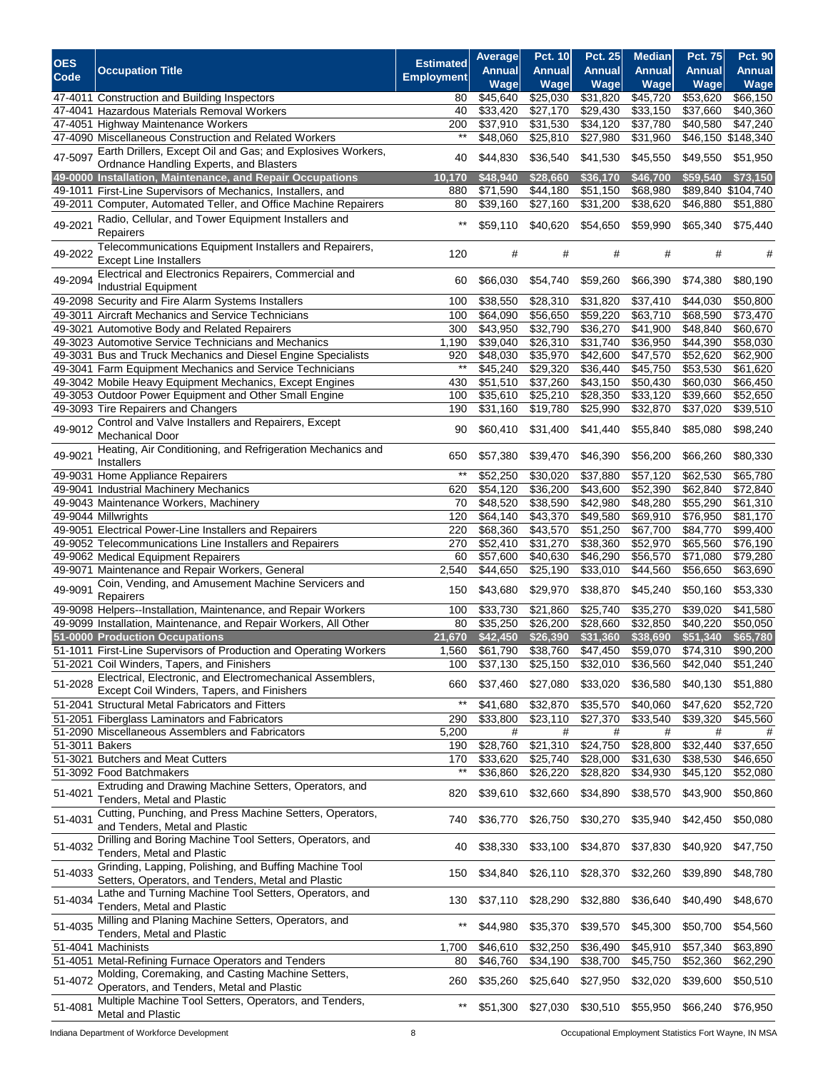| <b>OES</b>     | <b>Occupation Title</b>                                                                                      | <b>Estimated</b>  | Average<br><b>Annual</b> | <b>Pct. 10</b><br><b>Annual</b> | <b>Pct. 25</b><br><b>Annual</b> | <b>Median</b><br><b>Annual</b> | <b>Pct. 75</b><br><b>Annual</b> | Pct. 90<br><b>Annual</b> |
|----------------|--------------------------------------------------------------------------------------------------------------|-------------------|--------------------------|---------------------------------|---------------------------------|--------------------------------|---------------------------------|--------------------------|
| Code           |                                                                                                              | <b>Employment</b> | Wage                     | Wage                            | Wage                            | Wage                           | Wage                            | Wage                     |
|                | 47-4011 Construction and Building Inspectors                                                                 | 80                | \$45,640                 | \$25,030                        | \$31,820                        | \$45,720                       | \$53,620                        | \$66,150                 |
|                | 47-4041 Hazardous Materials Removal Workers                                                                  | 40                | \$33,420                 | \$27,170                        | \$29,430                        | \$33,150                       | \$37,660                        | \$40,360                 |
|                | 47-4051 Highway Maintenance Workers                                                                          | 200               | \$37,910                 | \$31,530                        | \$34,120                        | \$37,780                       | \$40,580                        | \$47,240                 |
|                | 47-4090 Miscellaneous Construction and Related Workers                                                       | $^{\star\star}$   | \$48,060                 | \$25,810                        | \$27,980                        | \$31,960                       | \$46,150                        | \$148,340                |
| 47-5097        | Earth Drillers, Except Oil and Gas; and Explosives Workers,                                                  | 40                | \$44,830                 | \$36,540                        | \$41,530                        | \$45,550                       | \$49,550                        | \$51,950                 |
|                | Ordnance Handling Experts, and Blasters<br>49-0000 Installation, Maintenance, and Repair Occupations         | 10,170            | \$48,940                 | \$28,660                        | \$36,170                        | \$46,700                       | \$59,540                        | \$73,150                 |
|                | 49-1011 First-Line Supervisors of Mechanics, Installers, and                                                 | 880               | \$71,590                 | \$44,180                        | \$51,150                        | \$68,980                       | \$89,840                        | \$104,740                |
|                | 49-2011 Computer, Automated Teller, and Office Machine Repairers                                             | 80                | $\overline{$}39,160$     | $\overline{$}27,160$            | $\overline{$}31,200$            | 38,620                         | \$46,880                        | \$51,880                 |
| 49-2021        | Radio, Cellular, and Tower Equipment Installers and                                                          | $^{\star\star}$   | \$59,110                 | \$40,620                        | \$54,650                        | \$59,990                       | \$65,340                        | \$75,440                 |
|                | Repairers                                                                                                    |                   |                          |                                 |                                 |                                |                                 |                          |
| 49-2022        | Telecommunications Equipment Installers and Repairers,<br><b>Except Line Installers</b>                      | 120               | #                        | #                               | #                               | #                              | #                               | #                        |
| 49-2094        | Electrical and Electronics Repairers, Commercial and                                                         | 60                | \$66,030                 | \$54,740                        | \$59,260                        | \$66,390                       | \$74,380                        | \$80,190                 |
|                | Industrial Equipment<br>49-2098 Security and Fire Alarm Systems Installers                                   | 100               | \$38,550                 | \$28,310                        | \$31,820                        | \$37,410                       | \$44,030                        | \$50,800                 |
|                | 49-3011 Aircraft Mechanics and Service Technicians                                                           | 100               | \$64,090                 | \$56,650                        | \$59,220                        | \$63,710                       | \$68,590                        | \$73,470                 |
|                | 49-3021 Automotive Body and Related Repairers                                                                | 300               | \$43,950                 | \$32,790                        | $\overline{$}36,270$            | \$41,900                       | \$48,840                        | \$60,670                 |
|                | 49-3023 Automotive Service Technicians and Mechanics                                                         | 1,190             | \$39,040                 | \$26,310                        | \$31,740                        | \$36,950                       | \$44,390                        | \$58,030                 |
|                | 49-3031 Bus and Truck Mechanics and Diesel Engine Specialists                                                | 920               | \$48,030                 | \$35,970                        | \$42,600                        | \$47,570                       | \$52,620                        | \$62,900                 |
|                | 49-3041 Farm Equipment Mechanics and Service Technicians                                                     | $**$              | \$45,240                 | \$29,320                        | \$36,440                        | \$45,750                       | \$53,530                        | \$61,620                 |
|                | 49-3042 Mobile Heavy Equipment Mechanics, Except Engines                                                     | 430               | \$51,510                 | \$37,260                        | \$43,150                        | \$50,430                       | \$60,030                        | \$66,450                 |
|                | 49-3053 Outdoor Power Equipment and Other Small Engine                                                       | 100               | \$35,610                 | \$25,210                        | \$28,350                        | \$33,120                       | \$39,660                        | \$52,650                 |
|                | 49-3093 Tire Repairers and Changers                                                                          | 190               | \$31,160                 | \$19,780                        | \$25,990                        | \$32,870                       | \$37,020                        | \$39,510                 |
| 49-9012        | Control and Valve Installers and Repairers, Except<br>Mechanical Door                                        | 90                | \$60,410                 | \$31,400                        | \$41,440                        | \$55,840                       | \$85,080                        | \$98,240                 |
| 49-9021        | Heating, Air Conditioning, and Refrigeration Mechanics and<br>Installers                                     | 650               | \$57,380                 | \$39,470                        | \$46,390                        | \$56,200                       | \$66,260                        | \$80,330                 |
|                | 49-9031 Home Appliance Repairers                                                                             | $^{\star\star}$   | \$52,250                 | \$30,020                        | \$37,880                        | \$57,120                       | \$62,530                        | \$65,780                 |
|                | 49-9041 Industrial Machinery Mechanics                                                                       | 620               | \$54,120                 | \$36,200                        | \$43,600                        | \$52,390                       | \$62,840                        | \$72,840                 |
|                | 49-9043 Maintenance Workers, Machinery                                                                       | 70                | \$48,520                 | \$38,590                        | \$42,980                        | \$48,280                       | \$55,290                        | \$61,310                 |
|                | 49-9044 Millwrights                                                                                          | 120               | \$64,140                 | \$43,370                        | \$49,580                        | \$69,910                       | \$76,950                        | $\overline{$81,170}$     |
|                | 49-9051 Electrical Power-Line Installers and Repairers                                                       | 220               | \$68,360                 | \$43,570                        | \$51,250                        | \$67,700                       | \$84,770                        | \$99,400                 |
|                | 49-9052 Telecommunications Line Installers and Repairers                                                     | 270               | \$52,410                 | \$31,270                        | \$38,360                        | \$52,970                       | \$65,560                        | \$76,190                 |
|                | 49-9062 Medical Equipment Repairers                                                                          | 60                | \$57,600                 | $\sqrt{$40,630}$                | \$46,290                        | \$56,570                       | \$71,080                        | \$79,280                 |
|                | 49-9071 Maintenance and Repair Workers, General                                                              | 2,540             | \$44,650                 | $\overline{$}25,190$            | \$33,010                        | \$44,560                       | \$56,650                        | \$63,690                 |
| 49-9091        | Coin, Vending, and Amusement Machine Servicers and<br>Repairers                                              | 150               | \$43,680                 | \$29,970                        | \$38,870                        | \$45,240                       | \$50,160                        | \$53,330                 |
|                | 49-9098 Helpers--Installation, Maintenance, and Repair Workers                                               | 100               | \$33,730                 | \$21,860                        | \$25,740                        | \$35,270                       | \$39,020                        | \$41,580                 |
|                | 49-9099 Installation, Maintenance, and Repair Workers, All Other                                             | 80                | \$35,250                 | \$26,200                        | \$28,660                        | \$32,850                       | \$40,220                        | \$50,050                 |
|                | 51-0000 Production Occupations                                                                               | 21,670            | \$42,450                 | \$26,390                        | \$31,360                        | \$38,690                       | \$51,340                        | \$65,780                 |
|                | 51-1011 First-Line Supervisors of Production and Operating Workers                                           | 1,560             | \$61,790                 | \$38,760                        | $\overline{$47,450}$            | \$59,070                       | \$74,310                        | \$90,200                 |
|                | 51-2021 Coil Winders, Tapers, and Finishers                                                                  | 100               | \$37,130                 | \$25,150                        | \$32,010                        | \$36,560                       | \$42,040                        | \$51,240                 |
| 51-2028        | Electrical, Electronic, and Electromechanical Assemblers,<br>Except Coil Winders, Tapers, and Finishers      | 660               | \$37,460                 | \$27,080                        | \$33,020                        | \$36,580                       | \$40,130                        | \$51,880                 |
|                | 51-2041 Structural Metal Fabricators and Fitters                                                             | $^{\star\star}$   | \$41,680                 | \$32,870                        | \$35,570                        | \$40,060                       | \$47,620                        | \$52,720                 |
|                | 51-2051 Fiberglass Laminators and Fabricators                                                                | 290               | \$33,800                 | \$23,110                        | \$27,370                        | \$33,540                       | \$39,320                        | \$45,560                 |
|                | 51-2090 Miscellaneous Assemblers and Fabricators                                                             | 5,200             | #                        | #                               | #                               | #                              | #                               | #                        |
| 51-3011 Bakers |                                                                                                              | 190               | \$28,760                 | \$21,310                        | \$24,750                        | \$28,800                       | \$32,440                        | \$37,650                 |
|                | 51-3021 Butchers and Meat Cutters                                                                            | 170               | \$33,620                 | \$25,740                        | \$28,000                        | \$31,630                       | \$38,530                        | \$46,650                 |
|                | 51-3092 Food Batchmakers                                                                                     | $^{\star\star}$   | \$36,860                 | \$26,220                        | \$28,820                        | \$34,930                       | \$45,120                        | \$52,080                 |
| 51-4021        | Extruding and Drawing Machine Setters, Operators, and<br>Tenders, Metal and Plastic                          | 820               | \$39,610                 | \$32,660                        | \$34,890                        | \$38,570                       | \$43,900                        | \$50,860                 |
| 51-4031        | Cutting, Punching, and Press Machine Setters, Operators,                                                     | 740               | \$36,770                 | \$26,750                        | \$30,270                        | \$35,940                       | \$42,450                        | \$50,080                 |
|                | and Tenders, Metal and Plastic<br>Drilling and Boring Machine Tool Setters, Operators, and                   |                   |                          |                                 |                                 |                                |                                 |                          |
| 51-4032        | Tenders, Metal and Plastic                                                                                   | 40                | \$38,330                 | \$33,100                        | \$34,870                        | \$37,830                       | \$40,920                        | \$47,750                 |
| 51-4033        | Grinding, Lapping, Polishing, and Buffing Machine Tool<br>Setters, Operators, and Tenders, Metal and Plastic | 150               | \$34,840                 | \$26,110                        | \$28,370                        | \$32,260                       | \$39,890                        | \$48,780                 |
| 51-4034        | Lathe and Turning Machine Tool Setters, Operators, and<br>Tenders, Metal and Plastic                         | 130               | \$37,110                 | \$28,290                        | \$32,880                        | \$36,640                       | \$40,490                        | \$48,670                 |
| 51-4035        | Milling and Planing Machine Setters, Operators, and                                                          | $^{\star\star}$   | \$44,980                 | \$35,370                        | \$39,570                        | \$45,300                       | \$50,700                        | \$54,560                 |
| 51-4041        | Tenders, Metal and Plastic<br>Machinists                                                                     | 1,700             | \$46,610                 | \$32,250                        | \$36,490                        | \$45,910                       | \$57,340                        | \$63,890                 |
| 51-4051        | Metal-Refining Furnace Operators and Tenders                                                                 | 80                | \$46,760                 | \$34,190                        | \$38,700                        | \$45,750                       | \$52,360                        | \$62,290                 |
| 51-4072        | Molding, Coremaking, and Casting Machine Setters,<br>Operators, and Tenders, Metal and Plastic               | 260               | \$35,260                 | \$25,640                        | \$27,950                        | \$32,020                       | \$39,600                        | \$50,510                 |
| 51-4081        | Multiple Machine Tool Setters, Operators, and Tenders,<br>Metal and Plastic                                  | $^{\ast\ast}$     | \$51,300                 | \$27,030                        | \$30,510                        | \$55,950                       | \$66,240                        | \$76,950                 |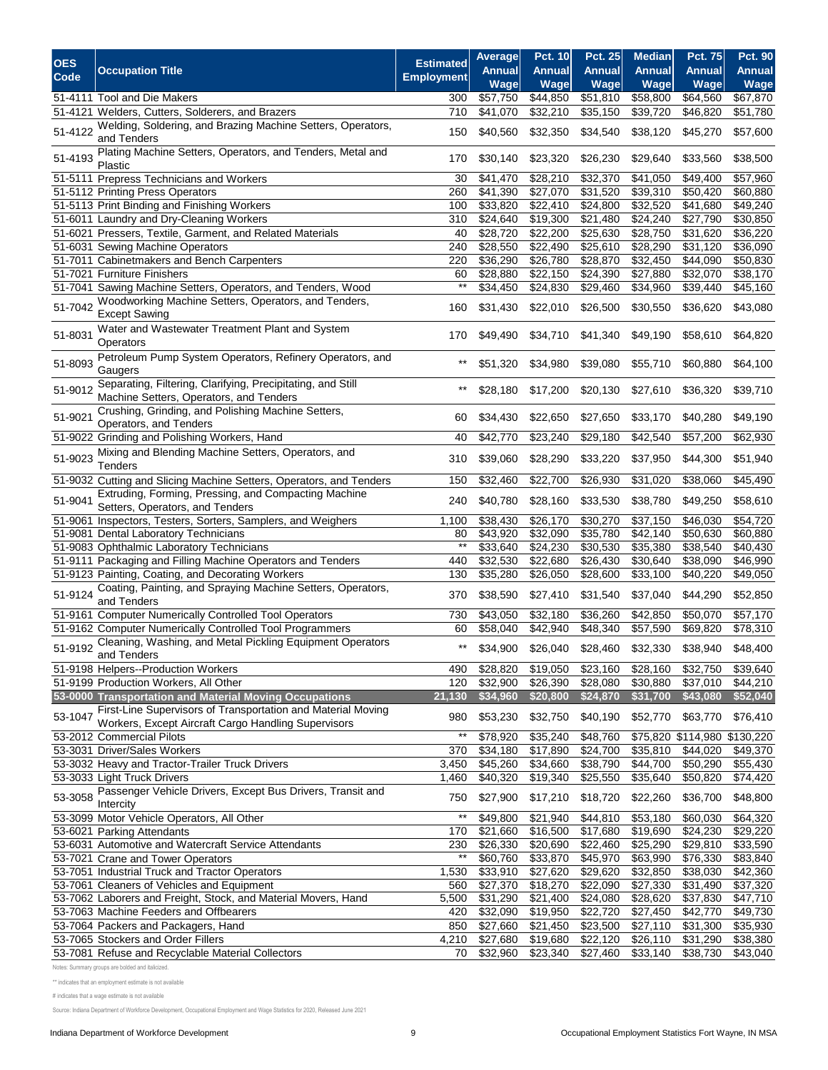|            |                                                                                                                     |                        | Average              | <b>Pct. 10</b>       | <b>Pct. 25</b>       | <b>Median</b>        | <b>Pct. 75</b>       | <b>Pct. 90</b>       |
|------------|---------------------------------------------------------------------------------------------------------------------|------------------------|----------------------|----------------------|----------------------|----------------------|----------------------|----------------------|
| <b>OES</b> | <b>Occupation Title</b>                                                                                             | <b>Estimated</b>       | Annual               | <b>Annual</b>        | <b>Annual</b>        | <b>Annual</b>        | <b>Annual</b>        | <b>Annual</b>        |
| Code       |                                                                                                                     | <b>Employment</b>      | Wage                 | Wage                 | Wage                 | Wage                 | Wage                 | Wage                 |
|            | 51-4111 Tool and Die Makers                                                                                         | 300                    | \$57,750             | \$44,850             | \$51,810             | \$58,800             | \$64,560             | \$67,870             |
|            | 51-4121 Welders, Cutters, Solderers, and Brazers                                                                    | 710                    | \$41,070             | \$32,210             | \$35,150             | \$39,720             | \$46,820             | \$51,780             |
| 51-4122    | Welding, Soldering, and Brazing Machine Setters, Operators,<br>and Tenders                                          | 150                    | \$40,560             | \$32,350             | \$34,540             | \$38,120             | \$45,270             | \$57,600             |
| 51-4193    | Plating Machine Setters, Operators, and Tenders, Metal and<br>Plastic                                               | 170                    | \$30,140             | \$23,320             | \$26,230             | \$29,640             | \$33,560             | \$38,500             |
|            | 51-5111 Prepress Technicians and Workers                                                                            | 30                     | \$41,470             | \$28,210             | \$32,370             | \$41,050             | \$49,400             | \$57,960             |
|            | 51-5112 Printing Press Operators                                                                                    | 260                    | $\overline{$}41,390$ | \$27,070             | \$31,520             | \$39,310             | \$50,420             | \$60,880             |
|            | 51-5113 Print Binding and Finishing Workers                                                                         | 100                    | \$33,820             | \$22,410             | \$24,800             | \$32,520             | \$41,680             | \$49,240             |
|            | 51-6011 Laundry and Dry-Cleaning Workers                                                                            | 310                    | \$24,640             | \$19,300             | \$21,480             | \$24,240             | \$27,790             | \$30,850             |
|            | 51-6021 Pressers, Textile, Garment, and Related Materials                                                           | 40                     | \$28,720             | \$22,200             | \$25,630             | \$28,750             | \$31,620             | \$36,220             |
|            | 51-6031 Sewing Machine Operators                                                                                    | 240                    | \$28,550             | \$22,490             | \$25,610             | \$28,290             | \$31,120             | \$36,090             |
|            | 51-7011 Cabinetmakers and Bench Carpenters                                                                          | 220                    | \$36,290             | \$26,780             | \$28,870             | \$32,450             | \$44,090             | \$50,830             |
|            | 51-7021 Furniture Finishers                                                                                         | 60<br>$***$            | \$28,880             | \$22,150             | \$24,390             | \$27,880             | \$32,070             | \$38,170             |
|            | 51-7041 Sawing Machine Setters, Operators, and Tenders, Wood                                                        |                        | $\overline{$}34,450$ | \$24,830             | \$29,460             | \$34,960             | \$39,440             | \$45,160             |
| 51-7042    | Woodworking Machine Setters, Operators, and Tenders,<br><b>Except Sawing</b>                                        | 160                    | \$31,430             | \$22,010             | \$26,500             | \$30,550             | \$36,620             | \$43,080             |
| 51-8031    | Water and Wastewater Treatment Plant and System<br>Operators                                                        | 170                    | \$49,490             | \$34,710             | \$41,340             | \$49,190             | \$58,610             | \$64,820             |
| 51-8093    | Petroleum Pump System Operators, Refinery Operators, and<br>Gaugers                                                 | $^{\star\star}$        | \$51,320             | \$34,980             | \$39,080             | \$55,710             | \$60,880             | \$64,100             |
| 51-9012    | Separating, Filtering, Clarifying, Precipitating, and Still<br>Machine Setters, Operators, and Tenders              | $***$                  | \$28,180             | \$17,200             | \$20,130             | \$27,610             | \$36,320             | \$39,710             |
| 51-9021    | Crushing, Grinding, and Polishing Machine Setters,<br>Operators, and Tenders                                        | 60                     | \$34,430             | \$22,650             | \$27,650             | \$33,170             | \$40,280             | \$49,190             |
|            | 51-9022 Grinding and Polishing Workers, Hand                                                                        | 40                     | \$42,770             | \$23,240             | \$29,180             | \$42,540             | \$57,200             | \$62,930             |
| 51-9023    | Mixing and Blending Machine Setters, Operators, and<br>Tenders                                                      | 310                    | \$39,060             | \$28,290             | \$33,220             | \$37,950             | \$44,300             | \$51,940             |
|            | 51-9032 Cutting and Slicing Machine Setters, Operators, and Tenders                                                 | 150                    | \$32,460             | \$22,700             | \$26,930             | \$31,020             | \$38,060             | \$45,490             |
| 51-9041    | Extruding, Forming, Pressing, and Compacting Machine<br>Setters, Operators, and Tenders                             | 240                    | \$40,780             | \$28,160             | \$33,530             | \$38,780             | \$49,250             | \$58,610             |
| 51-9061    | Inspectors, Testers, Sorters, Samplers, and Weighers                                                                | 1,100                  | \$38,430             | \$26,170             | \$30,270             | \$37,150             | \$46,030             | \$54,720             |
|            | 51-9081 Dental Laboratory Technicians                                                                               | 80<br>$*$              | \$43,920             | \$32,090             | \$35,780             | \$42,140             | \$50,630             | \$60,880             |
|            | 51-9083 Ophthalmic Laboratory Technicians<br>51-9111 Packaging and Filling Machine Operators and Tenders            | 440                    | \$33,640<br>\$32,530 | \$24,230<br>\$22,680 | \$30,530<br>\$26,430 | \$35,380<br>\$30,640 | \$38,540<br>\$38,090 | \$40,430<br>\$46,990 |
|            | 51-9123 Painting, Coating, and Decorating Workers                                                                   | 130                    | \$35,280             | \$26,050             | \$28,600             | \$33,100             | \$40,220             | \$49,050             |
| 51-9124    | Coating, Painting, and Spraying Machine Setters, Operators,<br>and Tenders                                          | 370                    | \$38,590             | \$27,410             | \$31,540             | \$37,040             | \$44,290             | \$52,850             |
|            | 51-9161 Computer Numerically Controlled Tool Operators                                                              | 730                    | \$43,050             | \$32,180             | \$36,260             | \$42,850             | \$50,070             | \$57,170             |
|            | 51-9162 Computer Numerically Controlled Tool Programmers                                                            | 60                     | \$58,040             | \$42,940             | \$48,340             | \$57,590             | \$69,820             | \$78,310             |
| 51-9192    | Cleaning, Washing, and Metal Pickling Equipment Operators<br>and Tenders                                            | $***$                  | \$34,900             | \$26,040             | \$28,460             | \$32,330             | \$38,940             | \$48,400             |
|            | 51-9198 Helpers--Production Workers                                                                                 | 490                    | \$28,820             | \$19,050             | \$23,160             | \$28,160             | \$32,750             | \$39,640             |
|            | 51-9199 Production Workers, All Other                                                                               | 120                    | \$32,900             | \$26,390             | \$28,080             | \$30,880             | \$37,010             | \$44,210             |
|            | 53-0000 Transportation and Material Moving Occupations                                                              | 21,130                 | \$34,960             | \$20,800             | \$24,870             | \$31,700             | \$43,080             | \$52,040             |
| 53-1047    | First-Line Supervisors of Transportation and Material Moving<br>Workers, Except Aircraft Cargo Handling Supervisors | 980                    | \$53,230             | \$32,750             | \$40,190             | \$52,770             | \$63,770             | \$76,410             |
|            | 53-2012 Commercial Pilots                                                                                           | $^{\star\star}$        | \$78,920             | \$35,240             | \$48,760             |                      | \$75,820 \$114,980   | \$130,220            |
|            | 53-3031 Driver/Sales Workers                                                                                        | 370                    | \$34,180             | \$17,890             | \$24,700             | \$35,810             | \$44,020             | \$49,370             |
|            | 53-3032 Heavy and Tractor-Trailer Truck Drivers                                                                     | 3,450                  | \$45,260             | \$34,660             | \$38,790             | \$44,700             | \$50,290             | \$55,430             |
|            | 53-3033 Light Truck Drivers                                                                                         | 1,460                  | \$40,320             | \$19,340             | \$25,550             | \$35,640             | \$50,820             | \$74,420             |
| 53-3058    | Passenger Vehicle Drivers, Except Bus Drivers, Transit and<br>Intercity                                             | 750<br>$^{\star\star}$ | \$27,900             | \$17,210             | \$18,720             | \$22,260             | \$36,700             | \$48,800             |
|            | 53-3099 Motor Vehicle Operators, All Other                                                                          |                        | \$49,800             | \$21,940             | \$44,810             | \$53,180             | \$60,030             | \$64,320             |
|            | 53-6021 Parking Attendants<br>53-6031 Automotive and Watercraft Service Attendants                                  | 170<br>230             | \$21,660<br>\$26,330 | \$16,500<br>\$20,690 | \$17,680<br>\$22,460 | \$19,690<br>\$25,290 | \$24,230<br>\$29,810 | \$29,220<br>\$33,590 |
|            | 53-7021 Crane and Tower Operators                                                                                   | $^{\star\star}$        | \$60,760             | \$33,870             | \$45,970             | \$63,990             | \$76,330             | \$83,840             |
|            | 53-7051 Industrial Truck and Tractor Operators                                                                      | 1,530                  | \$33,910             | \$27,620             | \$29,620             | \$32,850             | \$38,030             | \$42,360             |
|            | 53-7061 Cleaners of Vehicles and Equipment                                                                          | 560                    | \$27,370             | \$18,270             | \$22,090             | \$27,330             | \$31,490             | \$37,320             |
|            | 53-7062 Laborers and Freight, Stock, and Material Movers, Hand                                                      | 5,500                  | \$31,290             | \$21,400             | \$24,080             | \$28,620             | \$37,830             | \$47,710             |
|            | 53-7063 Machine Feeders and Offbearers                                                                              | 420                    | \$32,090             | \$19,950             | \$22,720             | \$27,450             | \$42,770             | \$49,730             |
|            | 53-7064 Packers and Packagers, Hand                                                                                 | 850                    | \$27,660             | \$21,450             | \$23,500             | \$27,110             | \$31,300             | \$35,930             |
|            | 53-7065 Stockers and Order Fillers                                                                                  | 4,210                  | \$27,680             | \$19,680             | \$22,120             | \$26,110             | \$31,290             | \$38,380             |
|            | 53-7081 Refuse and Recyclable Material Collectors                                                                   | 70                     | \$32,960             | \$23,340             | \$27,460             | \$33,140             | \$38,730             | \$43,040             |

Notes: Summary groups are bolded and italicized.

\*\* indicates that an employment estimate is not available

# indicates that a wage estimate is not available

Source: Indiana Department of Workforce Development, Occupational Employment and Wage Statistics for 2020, Released June 2021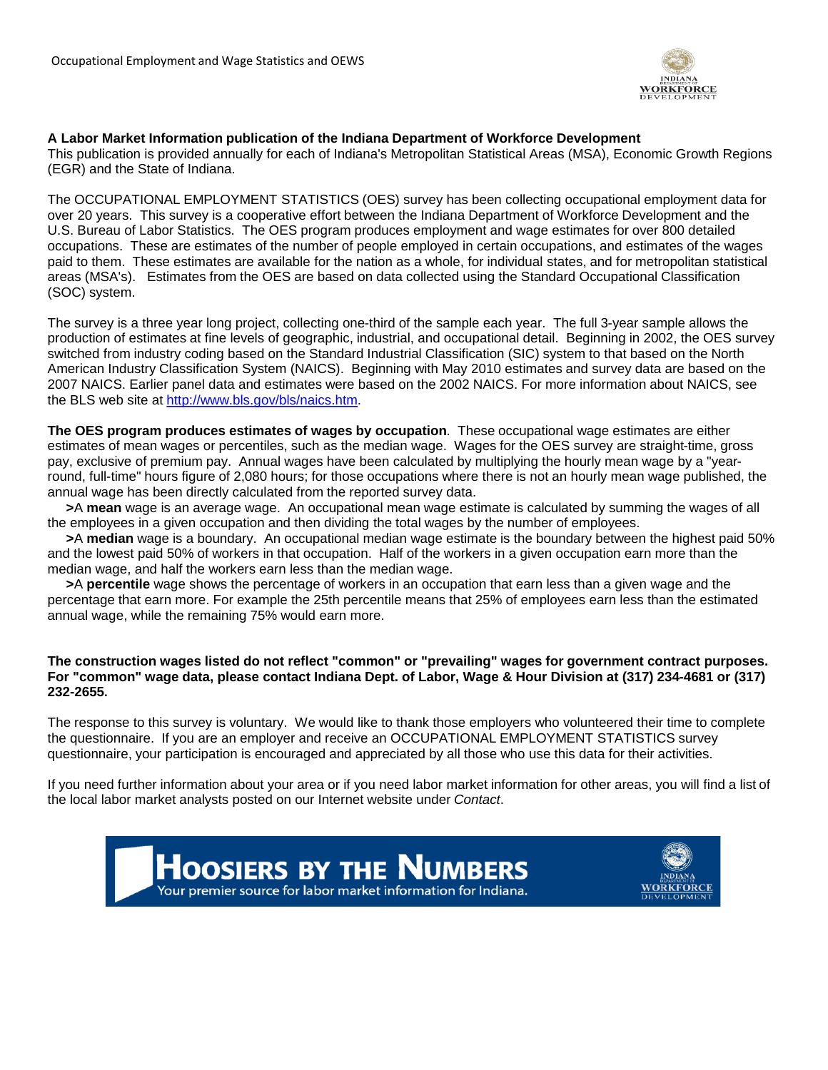

#### **A Labor Market Information publication of the Indiana Department of Workforce Development**

This publication is provided annually for each of Indiana's Metropolitan Statistical Areas (MSA), Economic Growth Regions (EGR) and the State of Indiana.

The OCCUPATIONAL EMPLOYMENT STATISTICS (OES) survey has been collecting occupational employment data for over 20 years. This survey is a cooperative effort between the Indiana Department of Workforce Development and the U.S. Bureau of Labor Statistics. The OES program produces employment and wage estimates for over 800 detailed occupations. These are estimates of the number of people employed in certain occupations, and estimates of the wages paid to them. These estimates are available for the nation as a whole, for individual states, and for metropolitan statistical areas (MSA's). Estimates from the OES are based on data collected using the Standard Occupational Classification (SOC) system.

The survey is a three year long project, collecting one-third of the sample each year. The full 3-year sample allows the production of estimates at fine levels of geographic, industrial, and occupational detail. Beginning in 2002, the OES survey switched from industry coding based on the Standard Industrial Classification (SIC) system to that based on the North American Industry Classification System (NAICS). Beginning with May 2010 estimates and survey data are based on the 2007 NAICS. Earlier panel data and estimates were based on the 2002 NAICS. For more information about NAICS, see the BLS web site at http://www.bls.gov/bls/naics.htm.

**The OES program produces estimates of wages by occupation**. These occupational wage estimates are either estimates of mean wages or percentiles, such as the median wage. Wages for the OES survey are straight-time, gross pay, exclusive of premium pay. Annual wages have been calculated by multiplying the hourly mean wage by a "yearround, full-time" hours figure of 2,080 hours; for those occupations where there is not an hourly mean wage published, the annual wage has been directly calculated from the reported survey data.

**>**A **mean** wage is an average wage. An occupational mean wage estimate is calculated by summing the wages of all the employees in a given occupation and then dividing the total wages by the number of employees.

**>**A **median** wage is a boundary. An occupational median wage estimate is the boundary between the highest paid 50% and the lowest paid 50% of workers in that occupation. Half of the workers in a given occupation earn more than the median wage, and half the workers earn less than the median wage.

**>**A **percentile** wage shows the percentage of workers in an occupation that earn less than a given wage and the percentage that earn more. For example the 25th percentile means that 25% of employees earn less than the estimated annual wage, while the remaining 75% would earn more.

#### **The construction wages listed do not reflect "common" or "prevailing" wages for government contract purposes. For "common" wage data, please contact Indiana Dept. of Labor, Wage & Hour Division at (317) 234-4681 or (317) 232-2655.**

The response to this survey is voluntary. We would like to thank those employers who volunteered their time to complete the questionnaire. If you are an employer and receive an OCCUPATIONAL EMPLOYMENT STATISTICS survey questionnaire, your participation is encouraged and appreciated by all those who use this data for their activities.

If you need further information about your area or if you need labor market information for other areas, you will find a list of the local labor market analysts posted on our Internet website under *Contact*.